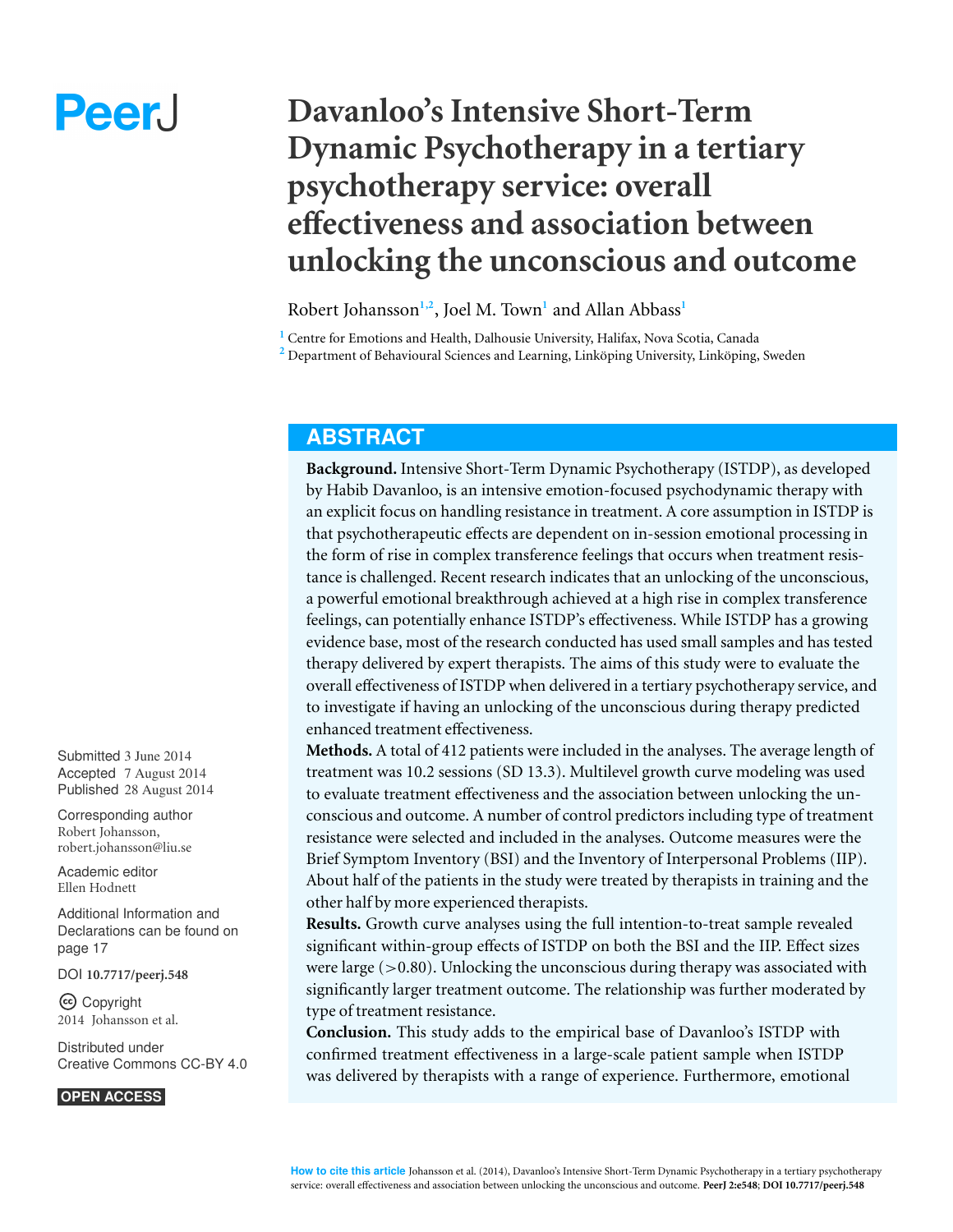# Peer.

# **Davanloo's Intensive Short-Term Dynamic Psychotherapy in a tertiary psychotherapy service: overall effectiveness and association between unlocking the unconscious and outcome**

Robert Johansson**1,2** , Joel M. Town**<sup>1</sup>** and Allan Abbass**<sup>1</sup>**

**<sup>1</sup>** Centre for Emotions and Health, Dalhousie University, Halifax, Nova Scotia, Canada

<sup>2</sup> Department of Behavioural Sciences and Learning, Linköping University, Linköping, Sweden

# **ABSTRACT**

**Background.** Intensive Short-Term Dynamic Psychotherapy (ISTDP), as developed by Habib Davanloo, is an intensive emotion-focused psychodynamic therapy with an explicit focus on handling resistance in treatment. A core assumption in ISTDP is that psychotherapeutic effects are dependent on in-session emotional processing in the form of rise in complex transference feelings that occurs when treatment resistance is challenged. Recent research indicates that an unlocking of the unconscious, a powerful emotional breakthrough achieved at a high rise in complex transference feelings, can potentially enhance ISTDP's effectiveness. While ISTDP has a growing evidence base, most of the research conducted has used small samples and has tested therapy delivered by expert therapists. The aims of this study were to evaluate the overall effectiveness of ISTDP when delivered in a tertiary psychotherapy service, and to investigate if having an unlocking of the unconscious during therapy predicted enhanced treatment effectiveness.

**Methods.** A total of 412 patients were included in the analyses. The average length of treatment was 10.2 sessions (SD 13.3). Multilevel growth curve modeling was used to evaluate treatment effectiveness and the association between unlocking the unconscious and outcome. A number of control predictors including type of treatment resistance were selected and included in the analyses. Outcome measures were the Brief Symptom Inventory (BSI) and the Inventory of Interpersonal Problems (IIP). About half of the patients in the study were treated by therapists in training and the other half by more experienced therapists.

**Results.** Growth curve analyses using the full intention-to-treat sample revealed significant within-group effects of ISTDP on both the BSI and the IIP. Effect sizes were large  $(>0.80)$ . Unlocking the unconscious during therapy was associated with significantly larger treatment outcome. The relationship was further moderated by type of treatment resistance.

**Conclusion.** This study adds to the empirical base of Davanloo's ISTDP with confirmed treatment effectiveness in a large-scale patient sample when ISTDP was delivered by therapists with a range of experience. Furthermore, emotional

Submitted 3 June 2014 Accepted 7 August 2014 Published 28 August 2014

Corresponding author Robert Johansson, [robert.johansson@liu.se](mailto:robert.johansson@liu.se)

[Academic editor](https://peerj.com/academic-boards/editors/) [Ellen Hodnett](https://peerj.com/academic-boards/editors/)

[Additional Information and](#page-16-0) [Declarations can be found on](#page-16-0) [page 17](#page-16-0)

[DOI](http://dx.doi.org/10.7717/peerj.548) **[10.7717/peerj.548](http://dx.doi.org/10.7717/peerj.548)**

Copyright 2014 Johansson et al.

[Distributed under](http://creativecommons.org/licenses/by/4.0/) [Creative Commons CC-BY 4.0](http://creativecommons.org/licenses/by/4.0/)

#### **OPEN ACCESS**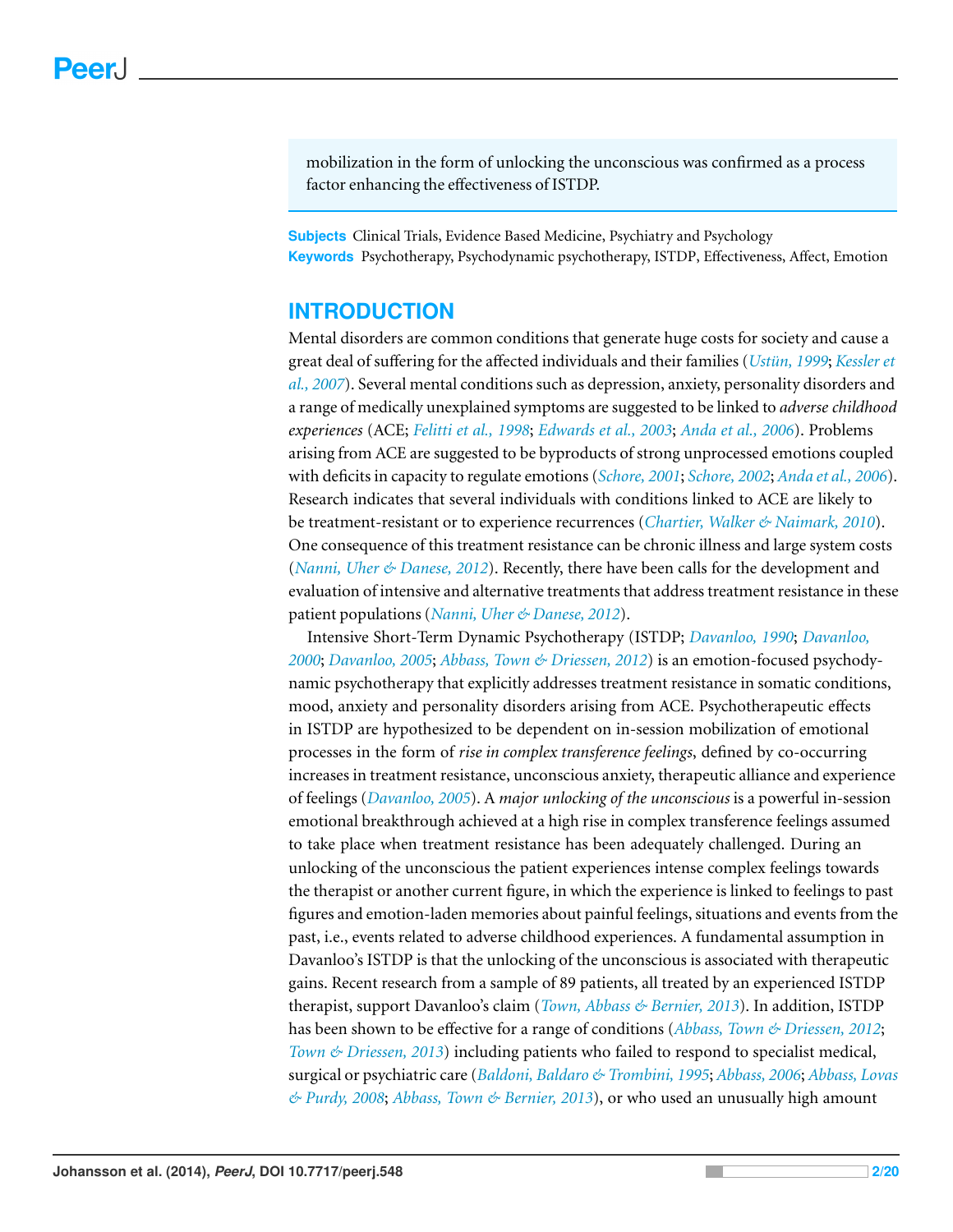mobilization in the form of unlocking the unconscious was confirmed as a process factor enhancing the effectiveness of ISTDP.

**Subjects** Clinical Trials, Evidence Based Medicine, Psychiatry and Psychology **Keywords** Psychotherapy, Psychodynamic psychotherapy, ISTDP, Effectiveness, Affect, Emotion

# **INTRODUCTION**

Mental disorders are common conditions that generate huge costs for society and cause a great deal of suffering for the affected individuals and their families (*[Ustun,](#page-19-0) ¨ [1999](#page-19-0)*; *[Kessler](#page-18-0) [et](#page-18-0) [al.,](#page-18-0) [2007](#page-18-0)*). Several mental conditions such as depression, anxiety, personality disorders and a range of medically unexplained symptoms are suggested to be linked to *adverse childhood experiences* (ACE; *[Felitti](#page-18-1) [et](#page-18-1) [al.,](#page-18-1) [1998](#page-18-1)*; *[Edwards](#page-18-2) [et](#page-18-2) [al.,](#page-18-2) [2003](#page-18-2)*; *[Anda](#page-17-0) [et](#page-17-0) [al.,](#page-17-0) [2006](#page-17-0)*). Problems arising from ACE are suggested to be byproducts of strong unprocessed emotions coupled with deficits in capacity to regulate emotions (*[Schore,](#page-19-1) [2001](#page-19-1)*; *[Schore,](#page-19-2) [2002](#page-19-2)*; *[Anda](#page-17-0) [et](#page-17-0) [al.,](#page-17-0) [2006](#page-17-0)*). Research indicates that several individuals with conditions linked to ACE are likely to be treatment-resistant or to experience recurrences (*[Chartier,](#page-17-1) [Walker](#page-17-1) [&](#page-17-1) [Naimark,](#page-17-1) [2010](#page-17-1)*). One consequence of this treatment resistance can be chronic illness and large system costs (*[Nanni,](#page-19-3) [Uher](#page-19-3) [&](#page-19-3) [Danese,](#page-19-3) [2012](#page-19-3)*). Recently, there have been calls for the development and evaluation of intensive and alternative treatments that address treatment resistance in these patient populations (*[Nanni,](#page-19-3) [Uher](#page-19-3) [&](#page-19-3) [Danese,](#page-19-3) [2012](#page-19-3)*).

Intensive Short-Term Dynamic Psychotherapy (ISTDP; *[Davanloo,](#page-17-2) [1990](#page-17-2)*; *[Davanloo,](#page-17-3) [2000](#page-17-3)*; *[Davanloo,](#page-18-3) [2005](#page-18-3)*; *[Abbass,](#page-17-4) [Town](#page-17-4) [&](#page-17-4) [Driessen,](#page-17-4) [2012](#page-17-4)*) is an emotion-focused psychodynamic psychotherapy that explicitly addresses treatment resistance in somatic conditions, mood, anxiety and personality disorders arising from ACE. Psychotherapeutic effects in ISTDP are hypothesized to be dependent on in-session mobilization of emotional processes in the form of *rise in complex transference feelings*, defined by co-occurring increases in treatment resistance, unconscious anxiety, therapeutic alliance and experience of feelings (*[Davanloo,](#page-18-3) [2005](#page-18-3)*). A *major unlocking of the unconscious* is a powerful in-session emotional breakthrough achieved at a high rise in complex transference feelings assumed to take place when treatment resistance has been adequately challenged. During an unlocking of the unconscious the patient experiences intense complex feelings towards the therapist or another current figure, in which the experience is linked to feelings to past figures and emotion-laden memories about painful feelings, situations and events from the past, i.e., events related to adverse childhood experiences. A fundamental assumption in Davanloo's ISTDP is that the unlocking of the unconscious is associated with therapeutic gains. Recent research from a sample of 89 patients, all treated by an experienced ISTDP therapist, support Davanloo's claim (*[Town,](#page-19-4) [Abbass](#page-19-4) [&](#page-19-4) [Bernier,](#page-19-4) [2013](#page-19-4)*). In addition, ISTDP has been shown to be effective for a range of conditions (*[Abbass,](#page-17-4) [Town](#page-17-4) [&](#page-17-4) [Driessen,](#page-17-4) [2012](#page-17-4)*; *[Town](#page-19-5) [&](#page-19-5) [Driessen,](#page-19-5) [2013](#page-19-5)*) including patients who failed to respond to specialist medical, surgical or psychiatric care (*[Baldoni,](#page-17-5) [Baldaro](#page-17-5) [&](#page-17-5) [Trombini,](#page-17-5) [1995](#page-17-5)*; *[Abbass,](#page-17-6) [2006](#page-17-6)*; *[Abbass,](#page-17-7) [Lovas](#page-17-7) [&](#page-17-7) [Purdy,](#page-17-7) [2008](#page-17-7)*; *[Abbass,](#page-17-8) [Town](#page-17-8) [&](#page-17-8) [Bernier,](#page-17-8) [2013](#page-17-8)*), or who used an unusually high amount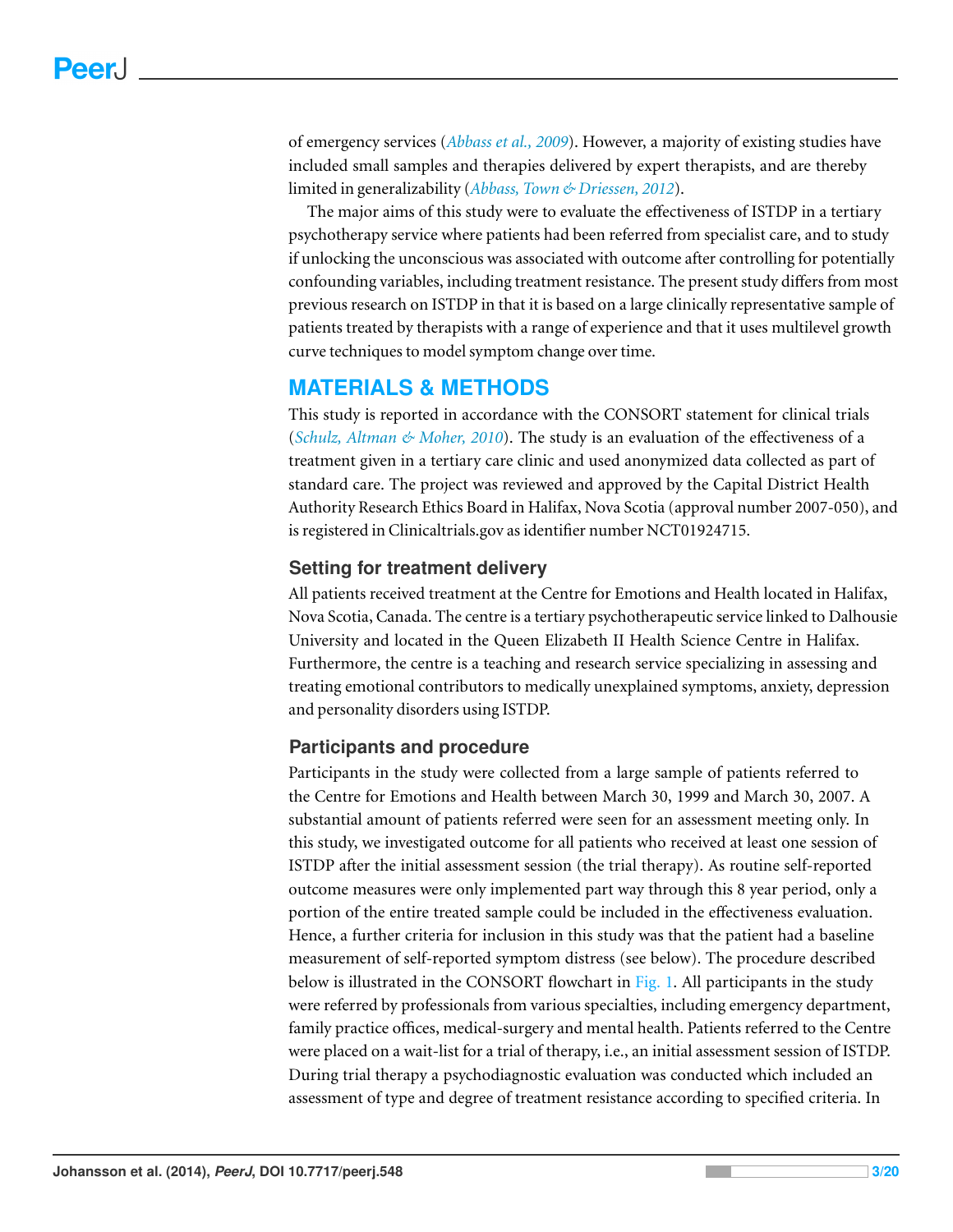of emergency services (*[Abbass](#page-17-9) [et](#page-17-9) [al.,](#page-17-9) [2009](#page-17-9)*). However, a majority of existing studies have included small samples and therapies delivered by expert therapists, and are thereby limited in generalizability (*[Abbass,](#page-17-4) [Town](#page-17-4) [&](#page-17-4) [Driessen,](#page-17-4) [2012](#page-17-4)*).

The major aims of this study were to evaluate the effectiveness of ISTDP in a tertiary psychotherapy service where patients had been referred from specialist care, and to study if unlocking the unconscious was associated with outcome after controlling for potentially confounding variables, including treatment resistance. The present study differs from most previous research on ISTDP in that it is based on a large clinically representative sample of patients treated by therapists with a range of experience and that it uses multilevel growth curve techniques to model symptom change over time.

# **MATERIALS & METHODS**

This study is reported in accordance with the CONSORT statement for clinical trials (*[Schulz,](#page-19-6) [Altman](#page-19-6) [&](#page-19-6) [Moher,](#page-19-6) [2010](#page-19-6)*). The study is an evaluation of the effectiveness of a treatment given in a tertiary care clinic and used anonymized data collected as part of standard care. The project was reviewed and approved by the Capital District Health Authority Research Ethics Board in Halifax, Nova Scotia (approval number 2007-050), and is registered in Clinicaltrials.gov as identifier number NCT01924715.

# **Setting for treatment delivery**

All patients received treatment at the Centre for Emotions and Health located in Halifax, Nova Scotia, Canada. The centre is a tertiary psychotherapeutic service linked to Dalhousie University and located in the Queen Elizabeth II Health Science Centre in Halifax. Furthermore, the centre is a teaching and research service specializing in assessing and treating emotional contributors to medically unexplained symptoms, anxiety, depression and personality disorders using ISTDP.

# **Participants and procedure**

Participants in the study were collected from a large sample of patients referred to the Centre for Emotions and Health between March 30, 1999 and March 30, 2007. A substantial amount of patients referred were seen for an assessment meeting only. In this study, we investigated outcome for all patients who received at least one session of ISTDP after the initial assessment session (the trial therapy). As routine self-reported outcome measures were only implemented part way through this 8 year period, only a portion of the entire treated sample could be included in the effectiveness evaluation. Hence, a further criteria for inclusion in this study was that the patient had a baseline measurement of self-reported symptom distress (see below). The procedure described below is illustrated in the CONSORT flowchart in [Fig. 1.](#page-3-0) All participants in the study were referred by professionals from various specialties, including emergency department, family practice offices, medical-surgery and mental health. Patients referred to the Centre were placed on a wait-list for a trial of therapy, i.e., an initial assessment session of ISTDP. During trial therapy a psychodiagnostic evaluation was conducted which included an assessment of type and degree of treatment resistance according to specified criteria. In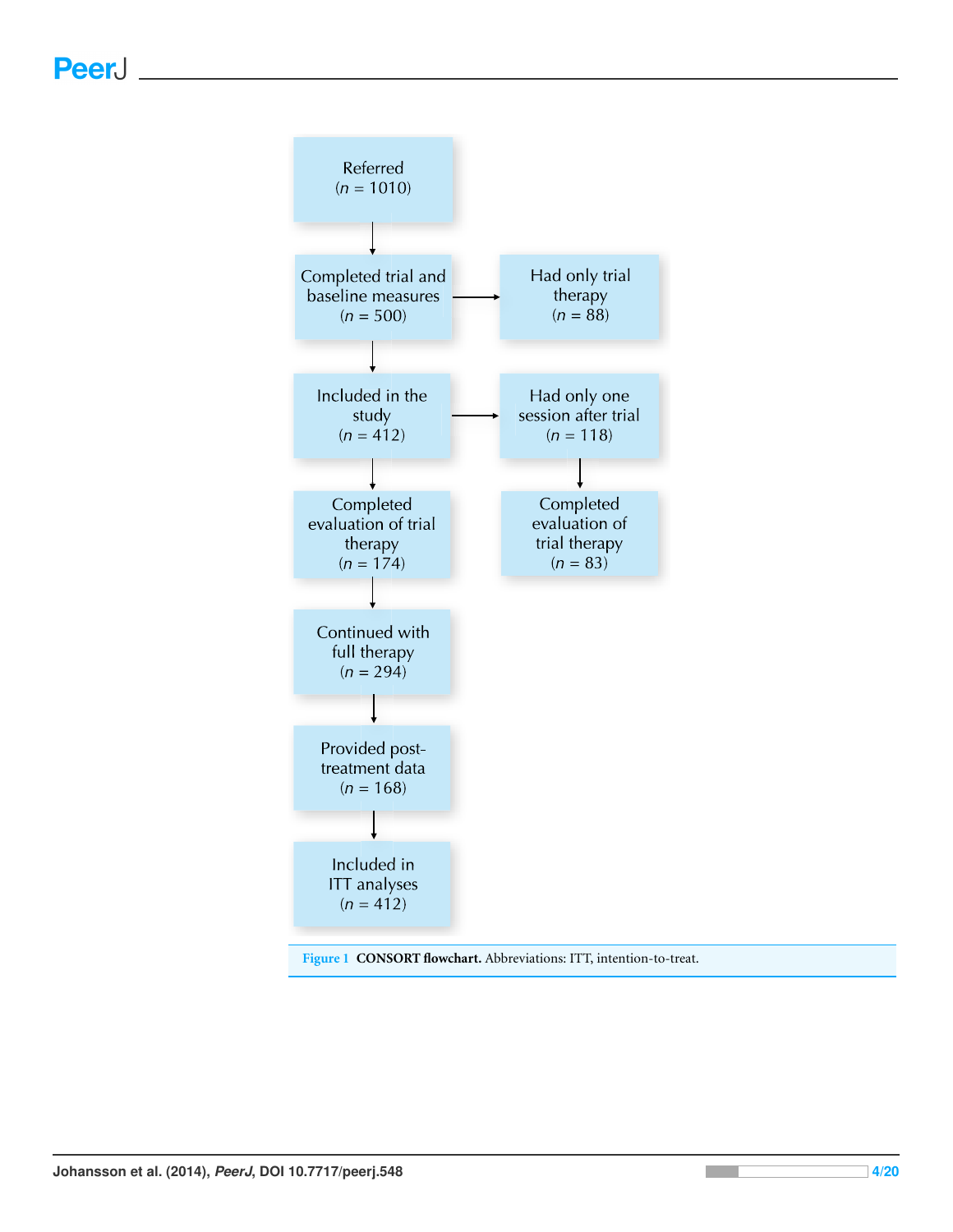<span id="page-3-0"></span>

**Figure 1 CONSORT flowchart.** Abbreviations: ITT, intention-to-treat.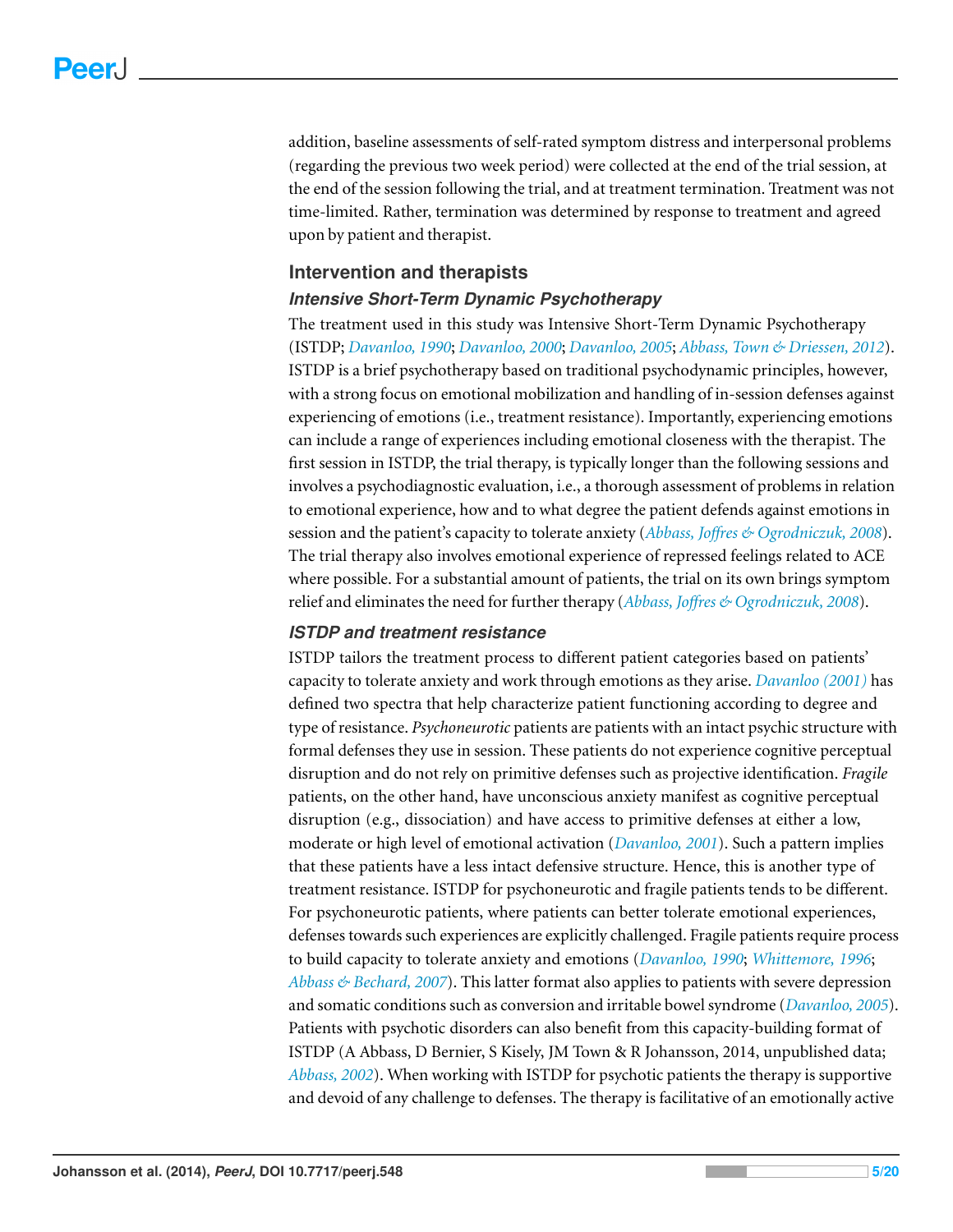addition, baseline assessments of self-rated symptom distress and interpersonal problems (regarding the previous two week period) were collected at the end of the trial session, at the end of the session following the trial, and at treatment termination. Treatment was not time-limited. Rather, termination was determined by response to treatment and agreed upon by patient and therapist.

#### **Intervention and therapists**

#### *Intensive Short-Term Dynamic Psychotherapy*

The treatment used in this study was Intensive Short-Term Dynamic Psychotherapy (ISTDP; *[Davanloo,](#page-17-2) [1990](#page-17-2)*; *[Davanloo,](#page-17-3) [2000](#page-17-3)*; *[Davanloo,](#page-18-3) [2005](#page-18-3)*; *[Abbass,](#page-17-4) [Town](#page-17-4) [&](#page-17-4) [Driessen,](#page-17-4) [2012](#page-17-4)*). ISTDP is a brief psychotherapy based on traditional psychodynamic principles, however, with a strong focus on emotional mobilization and handling of in-session defenses against experiencing of emotions (i.e., treatment resistance). Importantly, experiencing emotions can include a range of experiences including emotional closeness with the therapist. The first session in ISTDP, the trial therapy, is typically longer than the following sessions and involves a psychodiagnostic evaluation, i.e., a thorough assessment of problems in relation to emotional experience, how and to what degree the patient defends against emotions in session and the patient's capacity to tolerate anxiety (*[Abbass,](#page-17-10) Joff[res](#page-17-10) [&](#page-17-10) [Ogrodniczuk,](#page-17-10) [2008](#page-17-10)*). The trial therapy also involves emotional experience of repressed feelings related to ACE where possible. For a substantial amount of patients, the trial on its own brings symptom relief and eliminates the need for further therapy (*[Abbass,](#page-17-10) Joff[res](#page-17-10) [&](#page-17-10) [Ogrodniczuk,](#page-17-10) [2008](#page-17-10)*).

#### *ISTDP and treatment resistance*

ISTDP tailors the treatment process to different patient categories based on patients' capacity to tolerate anxiety and work through emotions as they arise. *[Davanloo](#page-17-11) [\(2001\)](#page-17-11)* has defined two spectra that help characterize patient functioning according to degree and type of resistance. *Psychoneurotic* patients are patients with an intact psychic structure with formal defenses they use in session. These patients do not experience cognitive perceptual disruption and do not rely on primitive defenses such as projective identification. *Fragile* patients, on the other hand, have unconscious anxiety manifest as cognitive perceptual disruption (e.g., dissociation) and have access to primitive defenses at either a low, moderate or high level of emotional activation (*[Davanloo,](#page-17-11) [2001](#page-17-11)*). Such a pattern implies that these patients have a less intact defensive structure. Hence, this is another type of treatment resistance. ISTDP for psychoneurotic and fragile patients tends to be different. For psychoneurotic patients, where patients can better tolerate emotional experiences, defenses towards such experiences are explicitly challenged. Fragile patients require process to build capacity to tolerate anxiety and emotions (*[Davanloo,](#page-17-2) [1990](#page-17-2)*; *[Whittemore,](#page-19-7) [1996](#page-19-7)*; *[Abbass](#page-17-12) [&](#page-17-12) [Bechard,](#page-17-12) [2007](#page-17-12)*). This latter format also applies to patients with severe depression and somatic conditions such as conversion and irritable bowel syndrome (*[Davanloo,](#page-18-3) [2005](#page-18-3)*). Patients with psychotic disorders can also benefit from this capacity-building format of ISTDP (A Abbass, D Bernier, S Kisely, JM Town & R Johansson, 2014, unpublished data; *[Abbass,](#page-17-13) [2002](#page-17-13)*). When working with ISTDP for psychotic patients the therapy is supportive and devoid of any challenge to defenses. The therapy is facilitative of an emotionally active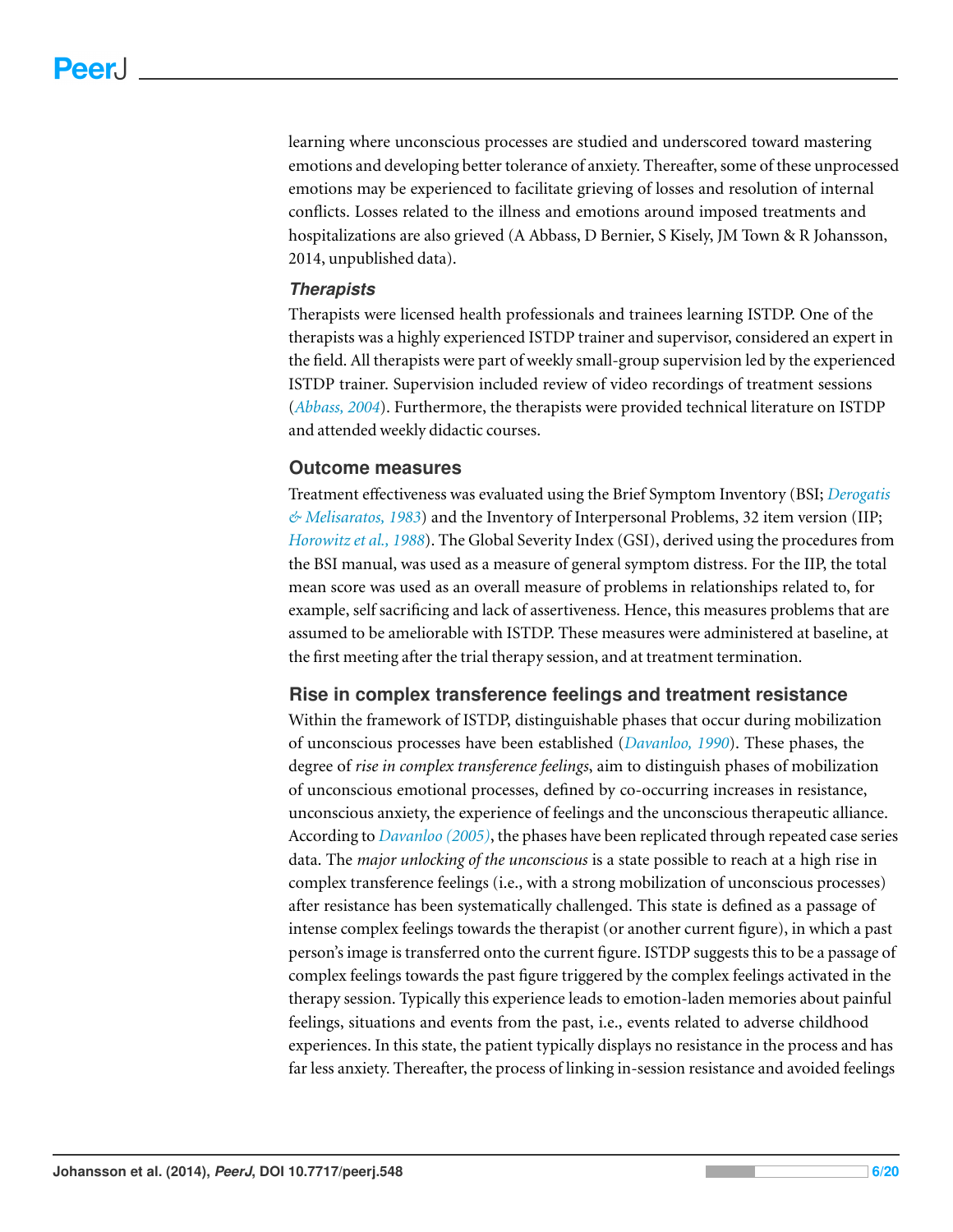learning where unconscious processes are studied and underscored toward mastering emotions and developing better tolerance of anxiety. Thereafter, some of these unprocessed emotions may be experienced to facilitate grieving of losses and resolution of internal conflicts. Losses related to the illness and emotions around imposed treatments and hospitalizations are also grieved (A Abbass, D Bernier, S Kisely, JM Town & R Johansson, 2014, unpublished data).

#### *Therapists*

Therapists were licensed health professionals and trainees learning ISTDP. One of the therapists was a highly experienced ISTDP trainer and supervisor, considered an expert in the field. All therapists were part of weekly small-group supervision led by the experienced ISTDP trainer. Supervision included review of video recordings of treatment sessions (*[Abbass,](#page-17-14) [2004](#page-17-14)*). Furthermore, the therapists were provided technical literature on ISTDP and attended weekly didactic courses.

#### **Outcome measures**

Treatment effectiveness was evaluated using the Brief Symptom Inventory (BSI; *[Derogatis](#page-18-4) [&](#page-18-4) [Melisaratos,](#page-18-4) [1983](#page-18-4)*) and the Inventory of Interpersonal Problems, 32 item version (IIP; *[Horowitzet](#page-18-5) [al.,](#page-18-5) [1988](#page-18-5)*). The Global Severity Index (GSI), derived using the procedures from the BSI manual, was used as a measure of general symptom distress. For the IIP, the total mean score was used as an overall measure of problems in relationships related to, for example, self sacrificing and lack of assertiveness. Hence, this measures problems that are assumed to be ameliorable with ISTDP. These measures were administered at baseline, at the first meeting after the trial therapy session, and at treatment termination.

#### **Rise in complex transference feelings and treatment resistance**

Within the framework of ISTDP, distinguishable phases that occur during mobilization of unconscious processes have been established (*[Davanloo,](#page-17-2) [1990](#page-17-2)*). These phases, the degree of *rise in complex transference feelings*, aim to distinguish phases of mobilization of unconscious emotional processes, defined by co-occurring increases in resistance, unconscious anxiety, the experience of feelings and the unconscious therapeutic alliance. According to *[Davanloo](#page-18-3) [\(2005\)](#page-18-3)*, the phases have been replicated through repeated case series data. The *major unlocking of the unconscious* is a state possible to reach at a high rise in complex transference feelings (i.e., with a strong mobilization of unconscious processes) after resistance has been systematically challenged. This state is defined as a passage of intense complex feelings towards the therapist (or another current figure), in which a past person's image is transferred onto the current figure. ISTDP suggests this to be a passage of complex feelings towards the past figure triggered by the complex feelings activated in the therapy session. Typically this experience leads to emotion-laden memories about painful feelings, situations and events from the past, i.e., events related to adverse childhood experiences. In this state, the patient typically displays no resistance in the process and has far less anxiety. Thereafter, the process of linking in-session resistance and avoided feelings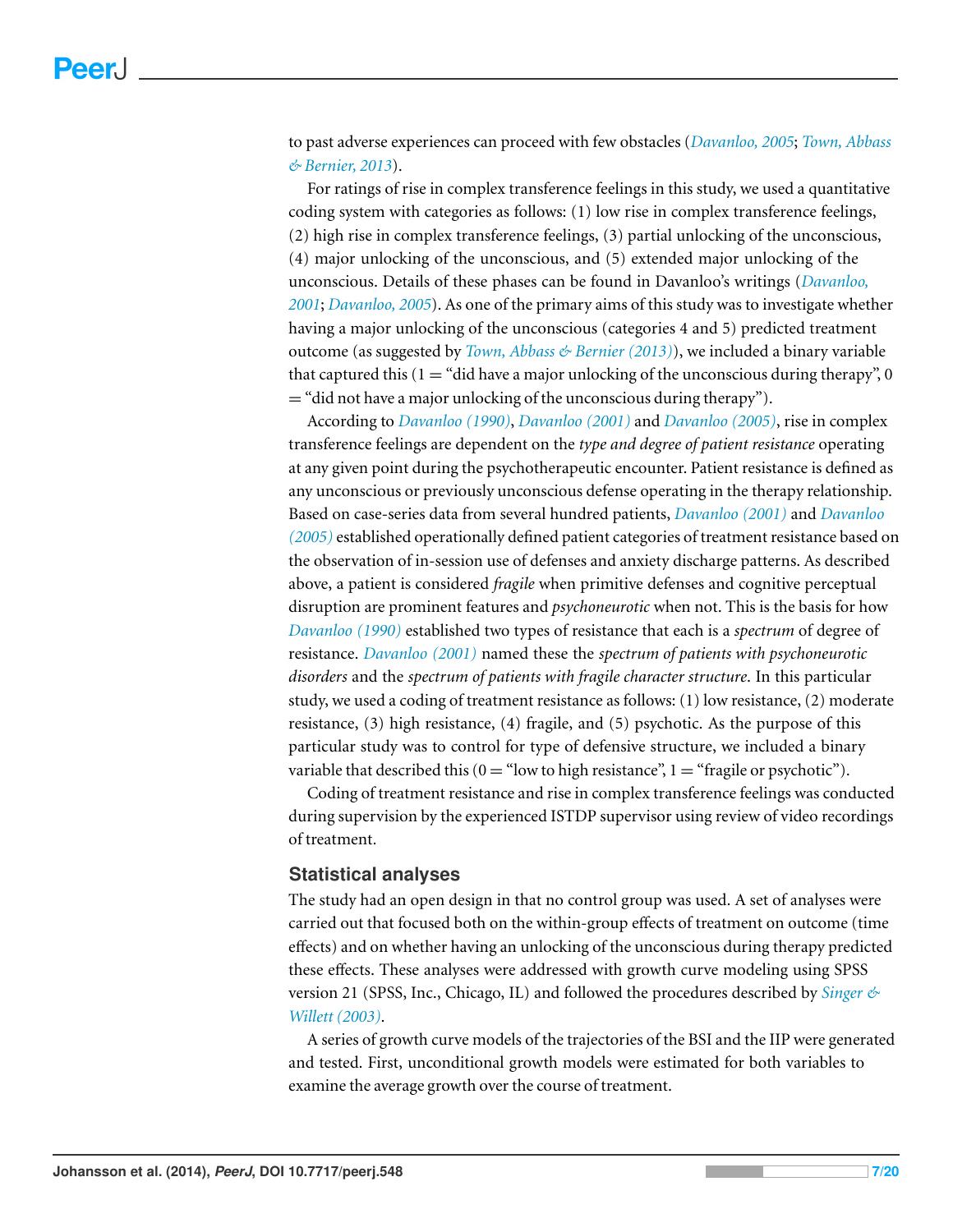to past adverse experiences can proceed with few obstacles (*[Davanloo,](#page-18-3) [2005](#page-18-3)*; *[Town,](#page-19-4) [Abbass](#page-19-4) [&](#page-19-4) [Bernier,](#page-19-4) [2013](#page-19-4)*).

For ratings of rise in complex transference feelings in this study, we used a quantitative coding system with categories as follows: (1) low rise in complex transference feelings, (2) high rise in complex transference feelings, (3) partial unlocking of the unconscious, (4) major unlocking of the unconscious, and (5) extended major unlocking of the unconscious. Details of these phases can be found in Davanloo's writings (*[Davanloo,](#page-17-11) [2001](#page-17-11)*; *[Davanloo,](#page-18-3) [2005](#page-18-3)*). As one of the primary aims of this study was to investigate whether having a major unlocking of the unconscious (categories 4 and 5) predicted treatment outcome (as suggested by *[Town,](#page-19-4) [Abbass](#page-19-4) [&](#page-19-4) [Bernier](#page-19-4) [\(2013\)](#page-19-4)*), we included a binary variable that captured this  $(1 = "did have a major unlocking of the unconscious during therapy", 0$ = "did not have a major unlocking of the unconscious during therapy").

According to *[Davanloo](#page-17-2) [\(1990\)](#page-17-2)*, *[Davanloo](#page-17-11) [\(2001\)](#page-17-11)* and *[Davanloo](#page-18-3) [\(2005\)](#page-18-3)*, rise in complex transference feelings are dependent on the *type and degree of patient resistance* operating at any given point during the psychotherapeutic encounter. Patient resistance is defined as any unconscious or previously unconscious defense operating in the therapy relationship. Based on case-series data from several hundred patients, *[Davanloo](#page-17-11) [\(2001\)](#page-17-11)* and *[Davanloo](#page-18-3) [\(2005\)](#page-18-3)* established operationally defined patient categories of treatment resistance based on the observation of in-session use of defenses and anxiety discharge patterns. As described above, a patient is considered *fragile* when primitive defenses and cognitive perceptual disruption are prominent features and *psychoneurotic* when not. This is the basis for how *[Davanloo](#page-17-2) [\(1990\)](#page-17-2)* established two types of resistance that each is a *spectrum* of degree of resistance. *[Davanloo](#page-17-11) [\(2001\)](#page-17-11)* named these the *spectrum of patients with psychoneurotic disorders* and the *spectrum of patients with fragile character structure*. In this particular study, we used a coding of treatment resistance as follows: (1) low resistance, (2) moderate resistance, (3) high resistance, (4) fragile, and (5) psychotic. As the purpose of this particular study was to control for type of defensive structure, we included a binary variable that described this  $(0 = "low to high resistance", 1 = "fragile or psychotic").$ 

Coding of treatment resistance and rise in complex transference feelings was conducted during supervision by the experienced ISTDP supervisor using review of video recordings of treatment.

#### **Statistical analyses**

The study had an open design in that no control group was used. A set of analyses were carried out that focused both on the within-group effects of treatment on outcome (time effects) and on whether having an unlocking of the unconscious during therapy predicted these effects. These analyses were addressed with growth curve modeling using SPSS version 21 (SPSS, Inc., Chicago, IL) and followed the procedures described by *[Singer](#page-19-8) [&](#page-19-8) [Willett\(2003\)](#page-19-8)*.

A series of growth curve models of the trajectories of the BSI and the IIP were generated and tested. First, unconditional growth models were estimated for both variables to examine the average growth over the course of treatment.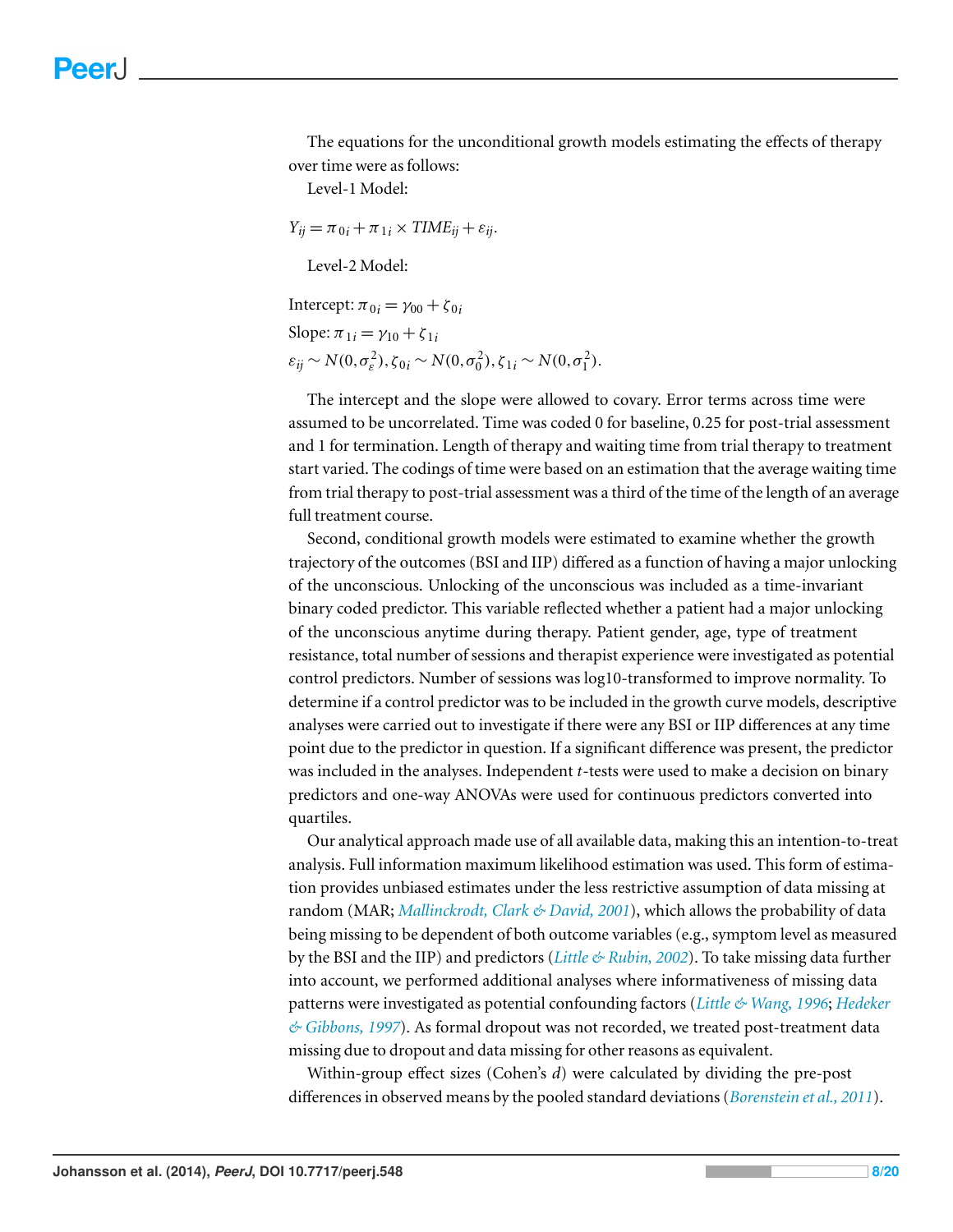The equations for the unconditional growth models estimating the effects of therapy over time were as follows:

Level-1 Model:

 $Y_{ij} = \pi_{0i} + \pi_{1i} \times TIME_{ij} + \varepsilon_{ij}.$ 

Level-2 Model:

Intercept:  $\pi_{0i} = \gamma_{00} + \zeta_{0i}$ 

Slope:  $\pi_{1i} = \gamma_{10} + \zeta_{1i}$ 

 $\varepsilon_{ij} \sim N(0, \sigma_{\varepsilon}^2), \zeta_{0i} \sim N(0, \sigma_0^2), \zeta_{1i} \sim N(0, \sigma_1^2).$ 

The intercept and the slope were allowed to covary. Error terms across time were assumed to be uncorrelated. Time was coded 0 for baseline, 0.25 for post-trial assessment and 1 for termination. Length of therapy and waiting time from trial therapy to treatment start varied. The codings of time were based on an estimation that the average waiting time from trial therapy to post-trial assessment was a third of the time of the length of an average full treatment course.

Second, conditional growth models were estimated to examine whether the growth trajectory of the outcomes (BSI and IIP) differed as a function of having a major unlocking of the unconscious. Unlocking of the unconscious was included as a time-invariant binary coded predictor. This variable reflected whether a patient had a major unlocking of the unconscious anytime during therapy. Patient gender, age, type of treatment resistance, total number of sessions and therapist experience were investigated as potential control predictors. Number of sessions was log10-transformed to improve normality. To determine if a control predictor was to be included in the growth curve models, descriptive analyses were carried out to investigate if there were any BSI or IIP differences at any time point due to the predictor in question. If a significant difference was present, the predictor was included in the analyses. Independent *t*-tests were used to make a decision on binary predictors and one-way ANOVAs were used for continuous predictors converted into quartiles.

Our analytical approach made use of all available data, making this an intention-to-treat analysis. Full information maximum likelihood estimation was used. This form of estimation provides unbiased estimates under the less restrictive assumption of data missing at random (MAR; *[Mallinckrodt,](#page-18-6) [Clark](#page-18-6) [&](#page-18-6) [David,](#page-18-6) [2001](#page-18-6)*), which allows the probability of data being missing to be dependent of both outcome variables (e.g., symptom level as measured by the BSI and the IIP) and predictors (*[Little](#page-18-7) [&](#page-18-7) [Rubin,](#page-18-7) [2002](#page-18-7)*). To take missing data further into account, we performed additional analyses where informativeness of missing data patterns were investigated as potential confounding factors (*[Little](#page-18-8) [&](#page-18-8) [Wang,](#page-18-8) [1996](#page-18-8)*; *[Hedeker](#page-18-9) [&](#page-18-9) [Gibbons,](#page-18-9) [1997](#page-18-9)*). As formal dropout was not recorded, we treated post-treatment data missing due to dropout and data missing for other reasons as equivalent.

Within-group effect sizes (Cohen's *d*) were calculated by dividing the pre-post differences in observed means by the pooled standard deviations (*[Borenstein](#page-17-15) [et](#page-17-15) [al.,](#page-17-15) [2011](#page-17-15)*).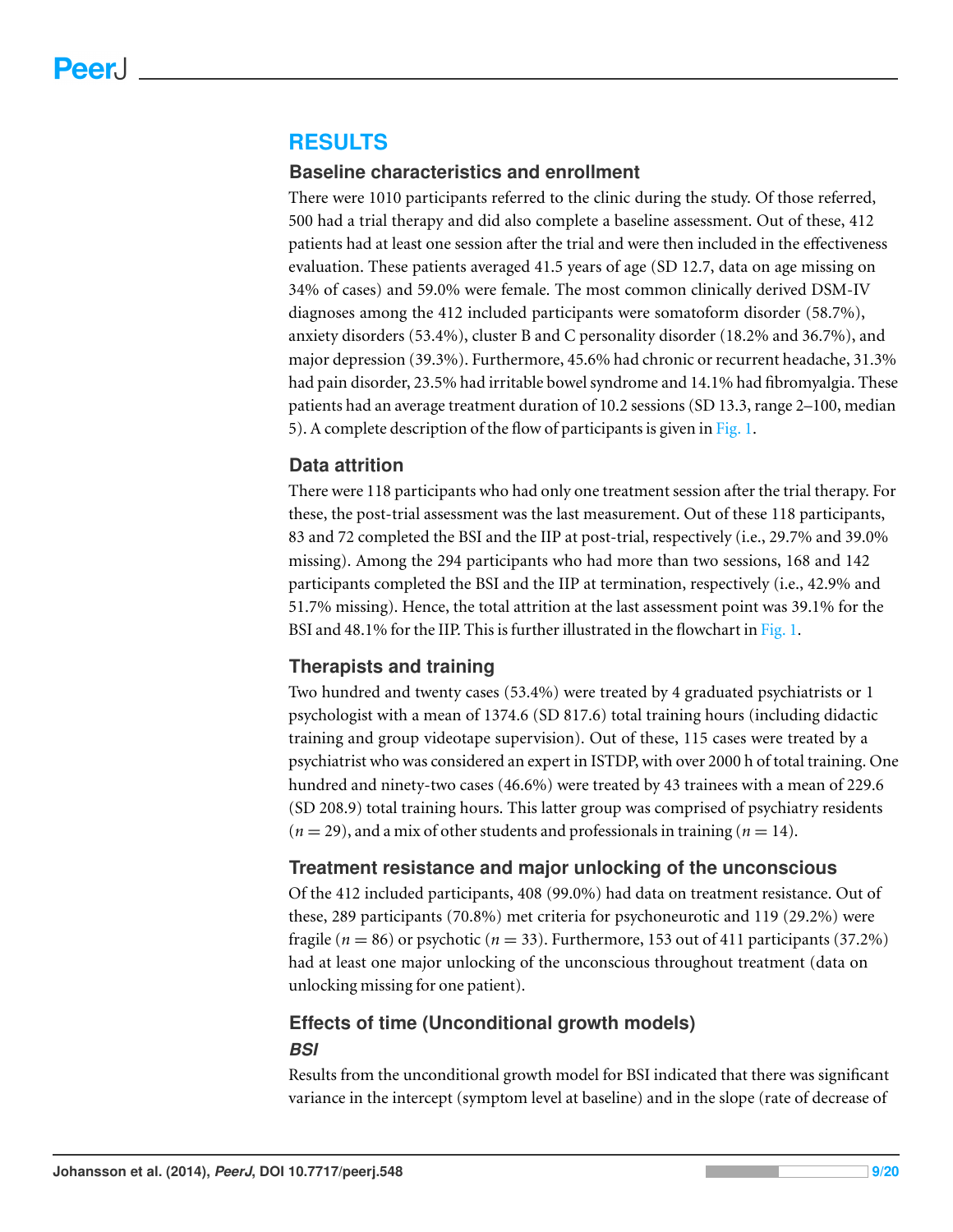# **RESULTS**

#### **Baseline characteristics and enrollment**

There were 1010 participants referred to the clinic during the study. Of those referred, 500 had a trial therapy and did also complete a baseline assessment. Out of these, 412 patients had at least one session after the trial and were then included in the effectiveness evaluation. These patients averaged 41.5 years of age (SD 12.7, data on age missing on 34% of cases) and 59.0% were female. The most common clinically derived DSM-IV diagnoses among the 412 included participants were somatoform disorder (58.7%), anxiety disorders (53.4%), cluster B and C personality disorder (18.2% and 36.7%), and major depression (39.3%). Furthermore, 45.6% had chronic or recurrent headache, 31.3% had pain disorder, 23.5% had irritable bowel syndrome and 14.1% had fibromyalgia. These patients had an average treatment duration of 10.2 sessions (SD 13.3, range 2–100, median 5). A complete description of the flow of participants is given in [Fig. 1.](#page-3-0)

#### **Data attrition**

There were 118 participants who had only one treatment session after the trial therapy. For these, the post-trial assessment was the last measurement. Out of these 118 participants, 83 and 72 completed the BSI and the IIP at post-trial, respectively (i.e., 29.7% and 39.0% missing). Among the 294 participants who had more than two sessions, 168 and 142 participants completed the BSI and the IIP at termination, respectively (i.e., 42.9% and 51.7% missing). Hence, the total attrition at the last assessment point was 39.1% for the BSI and 48.1% for the IIP. This is further illustrated in the flowchart in [Fig. 1.](#page-3-0)

#### **Therapists and training**

Two hundred and twenty cases (53.4%) were treated by 4 graduated psychiatrists or 1 psychologist with a mean of 1374.6 (SD 817.6) total training hours (including didactic training and group videotape supervision). Out of these, 115 cases were treated by a psychiatrist who was considered an expert in ISTDP, with over 2000 h of total training. One hundred and ninety-two cases (46.6%) were treated by 43 trainees with a mean of 229.6 (SD 208.9) total training hours. This latter group was comprised of psychiatry residents  $(n = 29)$ , and a mix of other students and professionals in training  $(n = 14)$ .

#### **Treatment resistance and major unlocking of the unconscious**

Of the 412 included participants, 408 (99.0%) had data on treatment resistance. Out of these, 289 participants (70.8%) met criteria for psychoneurotic and 119 (29.2%) were fragile ( $n = 86$ ) or psychotic ( $n = 33$ ). Furthermore, 153 out of 411 participants (37.2%) had at least one major unlocking of the unconscious throughout treatment (data on unlocking missing for one patient).

# **Effects of time (Unconditional growth models)** *BSI*

Results from the unconditional growth model for BSI indicated that there was significant variance in the intercept (symptom level at baseline) and in the slope (rate of decrease of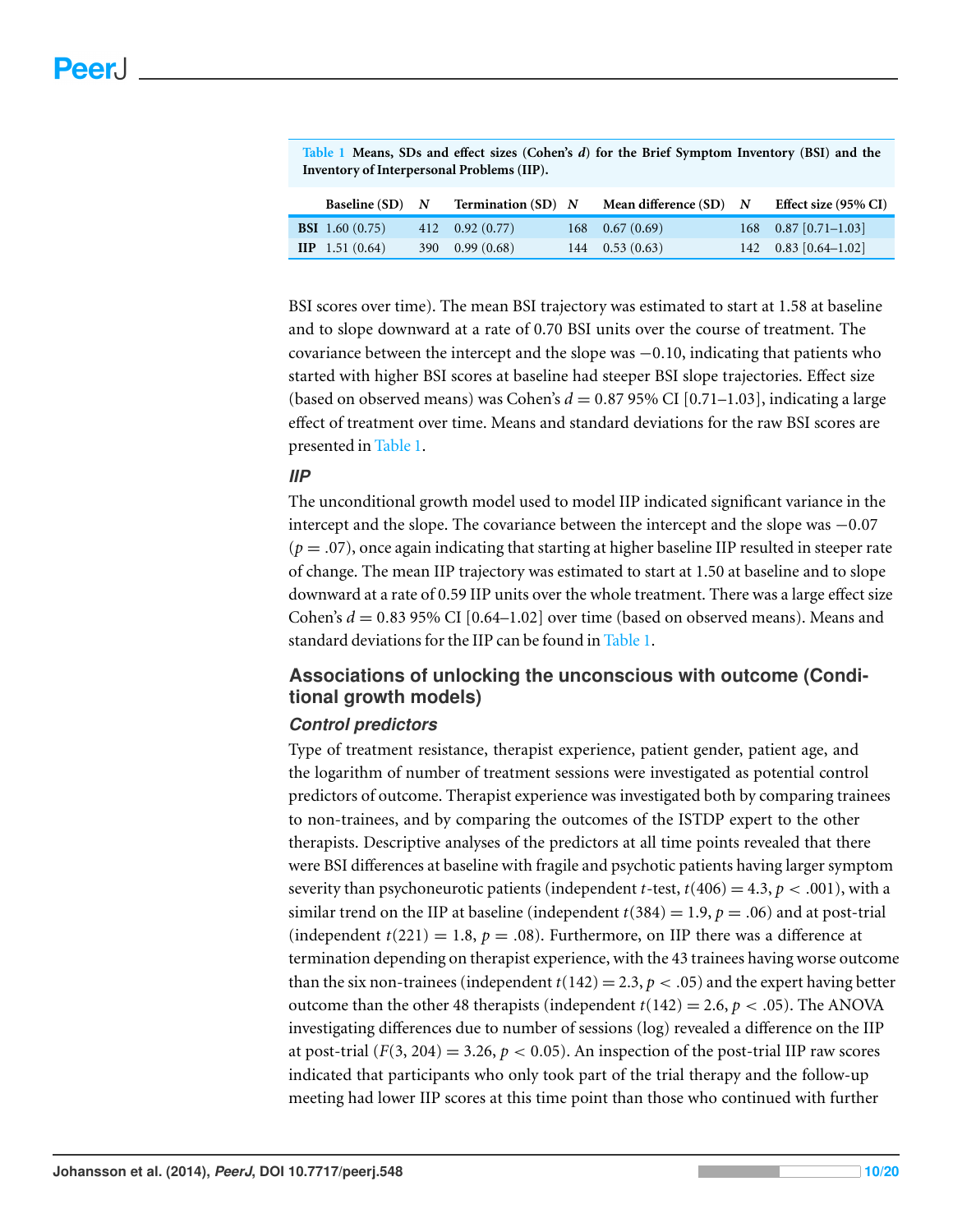<span id="page-9-0"></span>

|                                            | Table 1 Means, SDs and effect sizes (Cohen's $d$ ) for the Brief Symptom Inventory (BSI) and the |
|--------------------------------------------|--------------------------------------------------------------------------------------------------|
| Inventory of Interpersonal Problems (IIP). |                                                                                                  |

| Baseline $(SD)$ N         | <b>Termination</b> (SD) $N$ | Mean difference $(SD)$ N | Effect size (95% CI)   |
|---------------------------|-----------------------------|--------------------------|------------------------|
| <b>BSI</b> 1.60 $(0.75)$  | $412$ 0.92 (0.77)           | $168$ 0.67 (0.69)        | $168$ 0.87 [0.71-1.03] |
| $\textbf{HP}$ 1.51 (0.64) | $390$ 0.99 $(0.68)$         | $144 \quad 0.53(0.63)$   | $142$ 0.83 [0.64-1.02] |

BSI scores over time). The mean BSI trajectory was estimated to start at 1.58 at baseline and to slope downward at a rate of 0.70 BSI units over the course of treatment. The covariance between the intercept and the slope was  $-0.10$ , indicating that patients who started with higher BSI scores at baseline had steeper BSI slope trajectories. Effect size (based on observed means) was Cohen's  $d = 0.87$  95% CI [0.71–1.03], indicating a large effect of treatment over time. Means and standard deviations for the raw BSI scores are presented in [Table 1.](#page-9-0)

#### *IIP*

The unconditional growth model used to model IIP indicated significant variance in the intercept and the slope. The covariance between the intercept and the slope was −0.07  $(p = .07)$ , once again indicating that starting at higher baseline IIP resulted in steeper rate of change. The mean IIP trajectory was estimated to start at 1.50 at baseline and to slope downward at a rate of 0.59 IIP units over the whole treatment. There was a large effect size Cohen's  $d = 0.83$  95% CI [0.64–1.02] over time (based on observed means). Means and standard deviations for the IIP can be found in [Table 1.](#page-9-0)

# **Associations of unlocking the unconscious with outcome (Conditional growth models)**

#### *Control predictors*

Type of treatment resistance, therapist experience, patient gender, patient age, and the logarithm of number of treatment sessions were investigated as potential control predictors of outcome. Therapist experience was investigated both by comparing trainees to non-trainees, and by comparing the outcomes of the ISTDP expert to the other therapists. Descriptive analyses of the predictors at all time points revealed that there were BSI differences at baseline with fragile and psychotic patients having larger symptom severity than psychoneurotic patients (independent *t*-test,  $t(406) = 4.3$ ,  $p < .001$ ), with a similar trend on the IIP at baseline (independent  $t(384) = 1.9, p = .06$ ) and at post-trial (independent  $t(221) = 1.8$ ,  $p = .08$ ). Furthermore, on IIP there was a difference at termination depending on therapist experience, with the 43 trainees having worse outcome than the six non-trainees (independent  $t(142) = 2.3, p < .05$ ) and the expert having better outcome than the other 48 therapists (independent  $t(142) = 2.6, p < .05$ ). The ANOVA investigating differences due to number of sessions (log) revealed a difference on the IIP at post-trial  $(F(3, 204) = 3.26, p < 0.05)$ . An inspection of the post-trial IIP raw scores indicated that participants who only took part of the trial therapy and the follow-up meeting had lower IIP scores at this time point than those who continued with further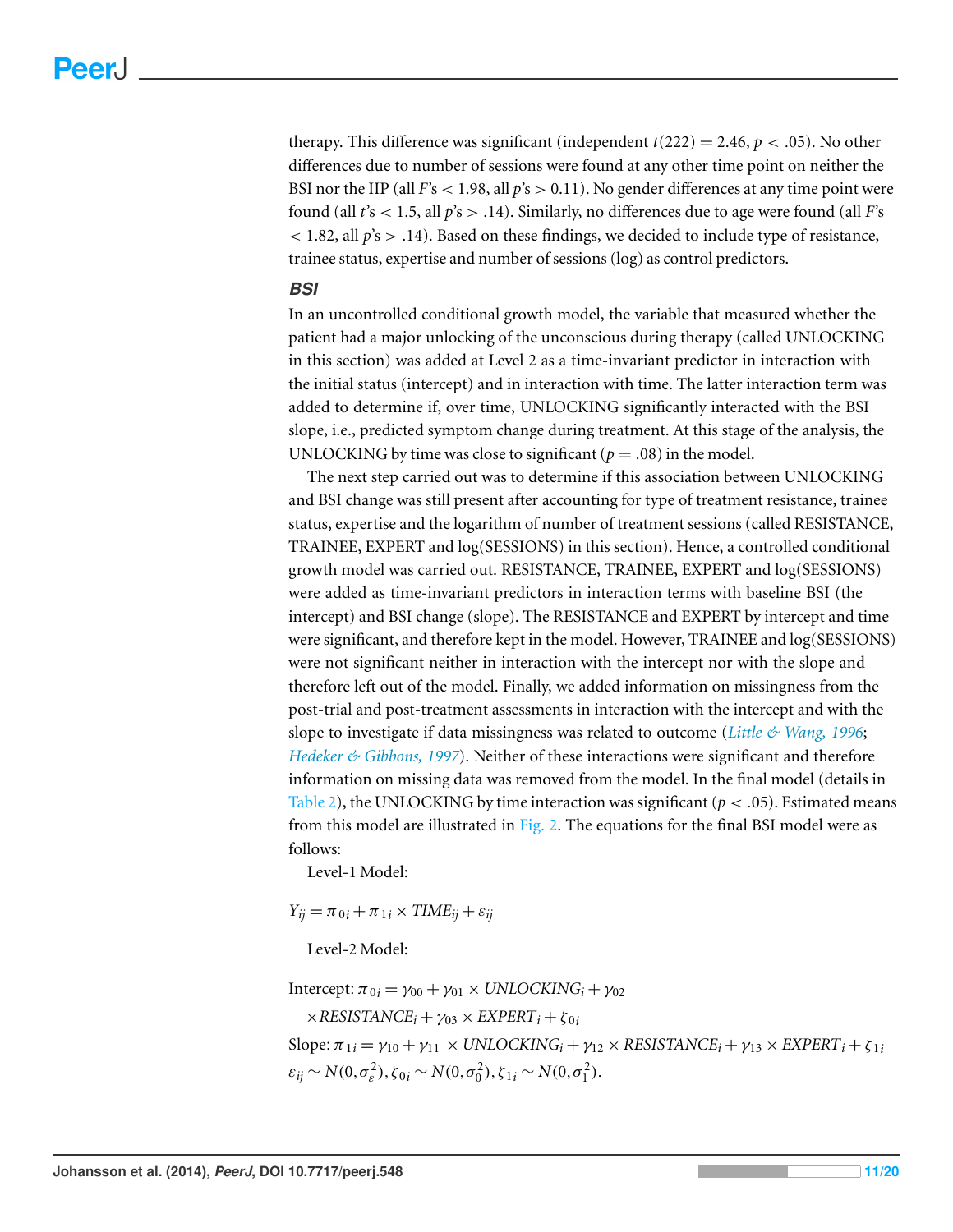therapy. This difference was significant (independent  $t(222) = 2.46$ ,  $p < .05$ ). No other differences due to number of sessions were found at any other time point on neither the BSI nor the IIP (all  $F's < 1.98$ , all  $p's > 0.11$ ). No gender differences at any time point were found (all *t*'s < 1.5, all *p*'s > .14). Similarly, no differences due to age were found (all *F*'s  $<$  1.82, all  $p's$  > .14). Based on these findings, we decided to include type of resistance, trainee status, expertise and number of sessions (log) as control predictors.

#### *BSI*

In an uncontrolled conditional growth model, the variable that measured whether the patient had a major unlocking of the unconscious during therapy (called UNLOCKING in this section) was added at Level 2 as a time-invariant predictor in interaction with the initial status (intercept) and in interaction with time. The latter interaction term was added to determine if, over time, UNLOCKING significantly interacted with the BSI slope, i.e., predicted symptom change during treatment. At this stage of the analysis, the UNLOCKING by time was close to significant ( $p = .08$ ) in the model.

The next step carried out was to determine if this association between UNLOCKING and BSI change was still present after accounting for type of treatment resistance, trainee status, expertise and the logarithm of number of treatment sessions (called RESISTANCE, TRAINEE, EXPERT and log(SESSIONS) in this section). Hence, a controlled conditional growth model was carried out. RESISTANCE, TRAINEE, EXPERT and log(SESSIONS) were added as time-invariant predictors in interaction terms with baseline BSI (the intercept) and BSI change (slope). The RESISTANCE and EXPERT by intercept and time were significant, and therefore kept in the model. However, TRAINEE and log(SESSIONS) were not significant neither in interaction with the intercept nor with the slope and therefore left out of the model. Finally, we added information on missingness from the post-trial and post-treatment assessments in interaction with the intercept and with the slope to investigate if data missingness was related to outcome (*[Little](#page-18-8) [&](#page-18-8) [Wang,](#page-18-8) [1996](#page-18-8)*; *[Hedeker](#page-18-9) [&](#page-18-9) [Gibbons,](#page-18-9) [1997](#page-18-9)*). Neither of these interactions were significant and therefore information on missing data was removed from the model. In the final model (details in [Table 2\)](#page-11-0), the UNLOCKING by time interaction was significant ( $p < .05$ ). Estimated means from this model are illustrated in [Fig. 2.](#page-11-1) The equations for the final BSI model were as follows:

Level-1 Model:

 $Y_{ij} = \pi_{0i} + \pi_{1i} \times TIME_{ij} + \varepsilon_{ij}$ 

Level-2 Model:

Intercept:  $\pi_{0i} = \gamma_{00} + \gamma_{01} \times UNLOCALNG_i + \gamma_{02}$  $\times$ *RESISTANCE*<sup>*i*</sup> +  $\gamma$ <sub>03</sub>  $\times$  *EXPERT*<sup>*i*</sup> +  $\zeta$ <sub>0*i*</sub>  $Slope: \pi_{1i} = \gamma_{10} + \gamma_{11} \times UNLOCALNG_i + \gamma_{12} \times RESISTANCE_i + \gamma_{13} \times EXPERT_i + \zeta_{1i}$  $\varepsilon_{ij} \sim N(0, \sigma_{\varepsilon}^2), \zeta_{0i} \sim N(0, \sigma_0^2), \zeta_{1i} \sim N(0, \sigma_1^2).$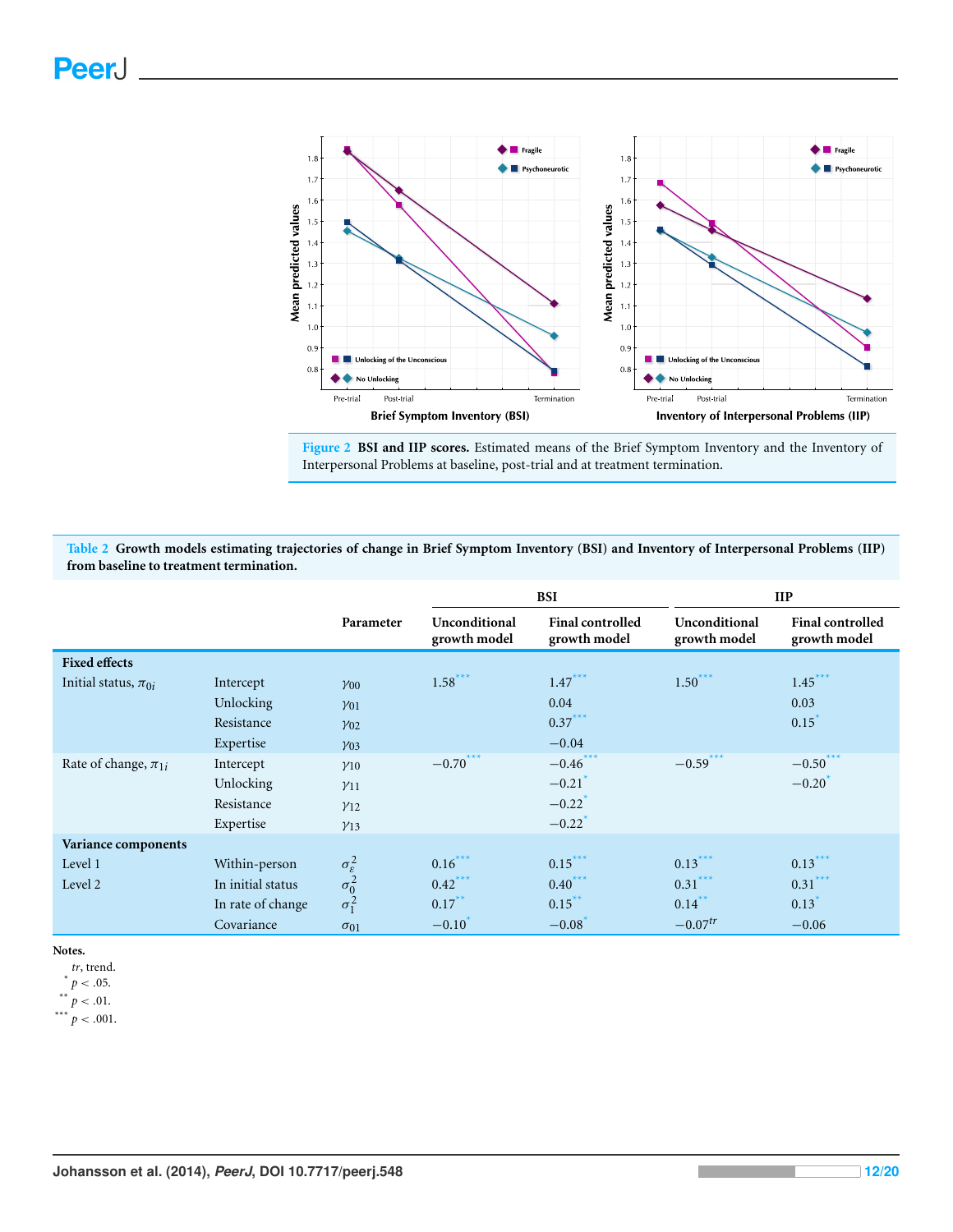<span id="page-11-1"></span>![](_page_11_Figure_1.jpeg)

**Figure 2 BSI and IIP scores.** Estimated means of the Brief Symptom Inventory and the Inventory of Interpersonal Problems at baseline, post-trial and at treatment termination.

<span id="page-11-0"></span>**Table 2 Growth models estimating trajectories of change in Brief Symptom Inventory (BSI) and Inventory of Interpersonal Problems (IIP) from baseline to treatment termination.**

|                            |                   |                              |                               | <b>BSI</b>                              | $_{\rm IIP}$                  |                                         |  |
|----------------------------|-------------------|------------------------------|-------------------------------|-----------------------------------------|-------------------------------|-----------------------------------------|--|
|                            |                   | Parameter                    | Unconditional<br>growth model | <b>Final controlled</b><br>growth model | Unconditional<br>growth model | <b>Final controlled</b><br>growth model |  |
| <b>Fixed effects</b>       |                   |                              |                               |                                         |                               |                                         |  |
| Initial status, $\pi_{0i}$ | Intercept         | $\gamma_{00}$                | $1.58***$                     | $1.47***$                               | $1.50***$                     | $1.45***$                               |  |
|                            | Unlocking         | $\gamma_{01}$                |                               | 0.04                                    |                               | 0.03                                    |  |
|                            | Resistance        | $y_{02}$                     |                               | $0.37***$                               |                               | 0.15                                    |  |
|                            | Expertise         | Y <sub>03</sub>              |                               | $-0.04$                                 |                               |                                         |  |
| Rate of change, $\pi_{1i}$ | Intercept         | $\gamma_{10}$                | $-0.70***$                    | $-0.46***$                              | $-0.59***$                    | $-0.50***$                              |  |
|                            | Unlocking         | $\gamma_{11}$                |                               | $-0.21$ <sup>'</sup>                    |                               | $-0.20$                                 |  |
|                            | Resistance        | $y_{12}$                     |                               | $-0.22$                                 |                               |                                         |  |
|                            | Expertise         | $y_{13}$                     |                               | $-0.22$                                 |                               |                                         |  |
| Variance components        |                   |                              |                               |                                         |                               |                                         |  |
| Level 1                    | Within-person     | $\sigma_{\varepsilon}^2$     | $0.16***$                     | $0.15***$                               | $0.13***$                     | $0.13***$                               |  |
| Level 2                    | In initial status |                              | $0.42***$                     | $0.40***$                               | $0.31***$                     | $0.31***$                               |  |
|                            | In rate of change | $\sigma_0^2$<br>$\sigma_1^2$ | $0.17***$                     | $0.15***$                               | $0.14***$                     | 0.13                                    |  |
|                            | Covariance        | $\sigma_{01}$                | $-0.10$                       | $-0.08$                                 | $-0.07^{tr}$                  | $-0.06$                                 |  |

**Notes.**

<span id="page-11-4"></span><span id="page-11-3"></span><span id="page-11-2"></span>*tr*, trend.  $*$   $p < .05$ .  $x^*$   $p$  < .01.  $p < .001$ .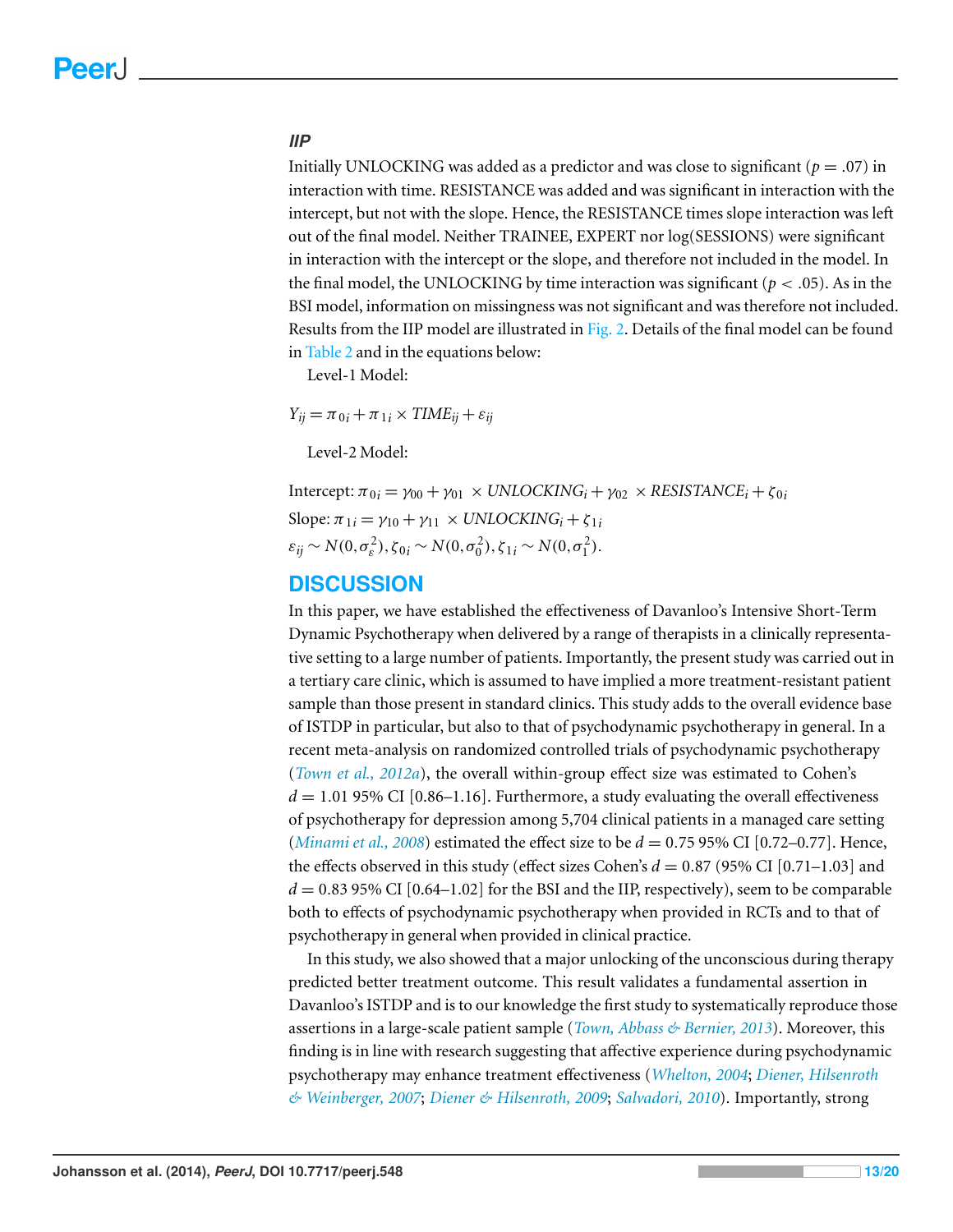#### *IIP*

Initially UNLOCKING was added as a predictor and was close to significant ( $p = .07$ ) in interaction with time. RESISTANCE was added and was significant in interaction with the intercept, but not with the slope. Hence, the RESISTANCE times slope interaction was left out of the final model. Neither TRAINEE, EXPERT nor log(SESSIONS) were significant in interaction with the intercept or the slope, and therefore not included in the model. In the final model, the UNLOCKING by time interaction was significant ( $p < .05$ ). As in the BSI model, information on missingness was not significant and was therefore not included. Results from the IIP model are illustrated in [Fig. 2.](#page-11-1) Details of the final model can be found in [Table 2](#page-11-0) and in the equations below:

Level-1 Model:

 $Y_{ij} = \pi_{0i} + \pi_{1i} \times TIME_{ij} + \varepsilon_{ij}$ 

Level-2 Model:

Intercept:  $\pi_{0i} = \gamma_{00} + \gamma_{01} \times UNLOCALNG_i + \gamma_{02} \times RESISTANCE_i + \zeta_{0i}$  $Slope: \pi_{1i} = \gamma_{10} + \gamma_{11} \times UNLOCALNG_i + \zeta_{1i}$  $\varepsilon_{ij} \sim N(0, \sigma_{\varepsilon}^2), \zeta_{0i} \sim N(0, \sigma_0^2), \zeta_{1i} \sim N(0, \sigma_1^2).$ 

# **DISCUSSION**

In this paper, we have established the effectiveness of Davanloo's Intensive Short-Term Dynamic Psychotherapy when delivered by a range of therapists in a clinically representative setting to a large number of patients. Importantly, the present study was carried out in a tertiary care clinic, which is assumed to have implied a more treatment-resistant patient sample than those present in standard clinics. This study adds to the overall evidence base of ISTDP in particular, but also to that of psychodynamic psychotherapy in general. In a recent meta-analysis on randomized controlled trials of psychodynamic psychotherapy (*[Town](#page-19-9) [et](#page-19-9) [al.,](#page-19-9) [2012a](#page-19-9)*), the overall within-group effect size was estimated to Cohen's  $d = 1.01$  95% CI [0.86–1.16]. Furthermore, a study evaluating the overall effectiveness of psychotherapy for depression among 5,704 clinical patients in a managed care setting (*[Minami](#page-18-10) [et](#page-18-10) [al.,](#page-18-10) [2008](#page-18-10)*) estimated the effect size to be *d* = 0.75 95% CI [0.72–0.77]. Hence, the effects observed in this study (effect sizes Cohen's  $d = 0.87$  (95% CI [0.71–1.03] and  $d = 0.83$  95% CI [0.64–1.02] for the BSI and the IIP, respectively), seem to be comparable both to effects of psychodynamic psychotherapy when provided in RCTs and to that of psychotherapy in general when provided in clinical practice.

In this study, we also showed that a major unlocking of the unconscious during therapy predicted better treatment outcome. This result validates a fundamental assertion in Davanloo's ISTDP and is to our knowledge the first study to systematically reproduce those assertions in a large-scale patient sample (*[Town,](#page-19-4) [Abbass](#page-19-4) [&](#page-19-4) [Bernier,](#page-19-4) [2013](#page-19-4)*). Moreover, this finding is in line with research suggesting that affective experience during psychodynamic psychotherapy may enhance treatment effectiveness (*[Whelton,](#page-19-10) [2004](#page-19-10)*; *[Diener,](#page-18-11) [Hilsenroth](#page-18-11) [&](#page-18-11) [Weinberger,](#page-18-11) [2007](#page-18-11)*; *[Diener](#page-18-12) [&](#page-18-12) [Hilsenroth,](#page-18-12) [2009](#page-18-12)*; *[Salvadori,](#page-19-11) [2010](#page-19-11)*). Importantly, strong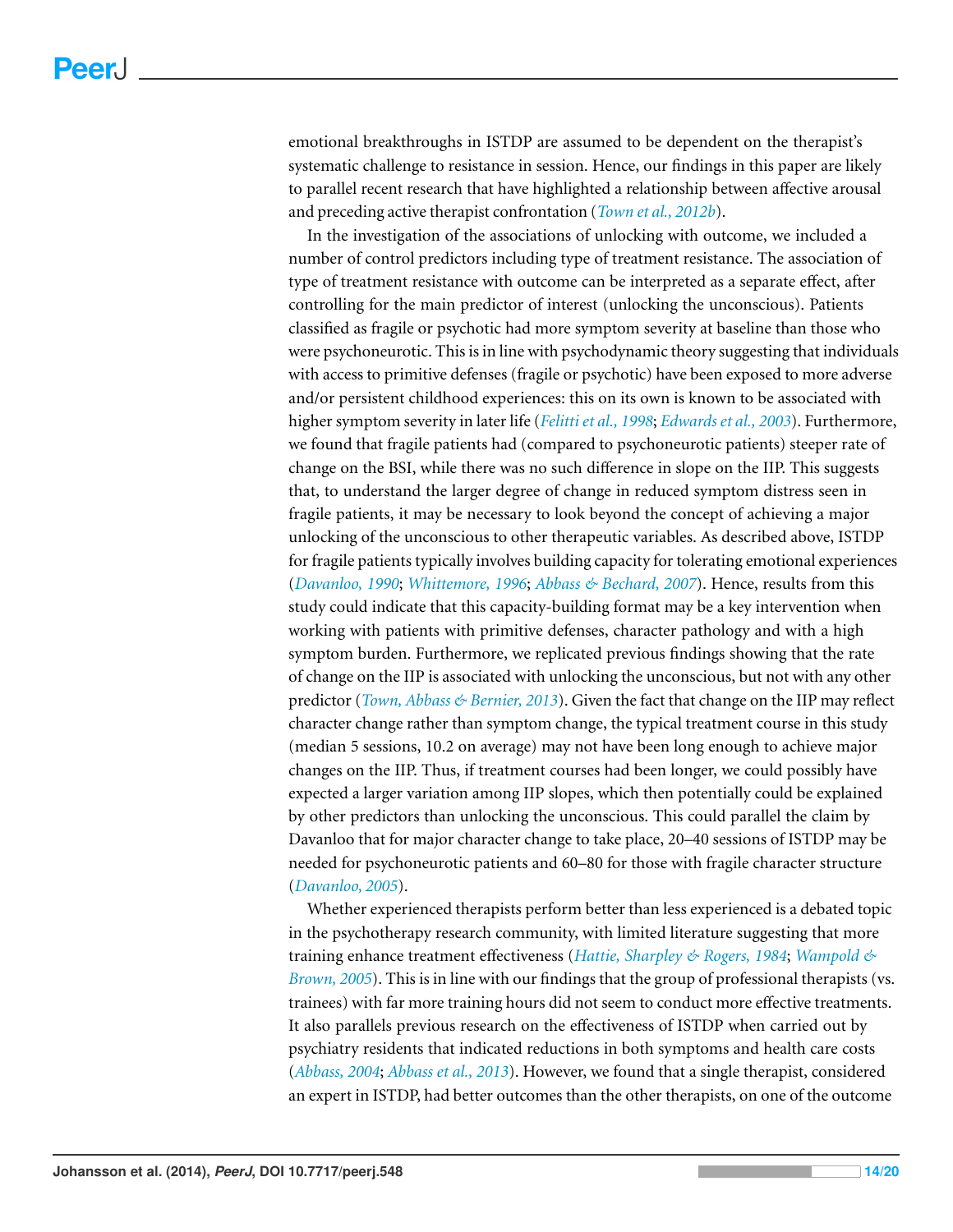emotional breakthroughs in ISTDP are assumed to be dependent on the therapist's systematic challenge to resistance in session. Hence, our findings in this paper are likely to parallel recent research that have highlighted a relationship between affective arousal and preceding active therapist confrontation (*[Town](#page-19-12) [et](#page-19-12) [al.,](#page-19-12) [2012b](#page-19-12)*).

In the investigation of the associations of unlocking with outcome, we included a number of control predictors including type of treatment resistance. The association of type of treatment resistance with outcome can be interpreted as a separate effect, after controlling for the main predictor of interest (unlocking the unconscious). Patients classified as fragile or psychotic had more symptom severity at baseline than those who were psychoneurotic. This is in line with psychodynamic theory suggesting that individuals with access to primitive defenses (fragile or psychotic) have been exposed to more adverse and/or persistent childhood experiences: this on its own is known to be associated with higher symptom severity in later life (*[Felittiet](#page-18-1) [al.,](#page-18-1) [1998](#page-18-1)*; *[Edwardset](#page-18-2) [al.,](#page-18-2) [2003](#page-18-2)*). Furthermore, we found that fragile patients had (compared to psychoneurotic patients) steeper rate of change on the BSI, while there was no such difference in slope on the IIP. This suggests that, to understand the larger degree of change in reduced symptom distress seen in fragile patients, it may be necessary to look beyond the concept of achieving a major unlocking of the unconscious to other therapeutic variables. As described above, ISTDP for fragile patients typically involves building capacity for tolerating emotional experiences (*[Davanloo,](#page-17-2) [1990](#page-17-2)*; *[Whittemore,](#page-19-7) [1996](#page-19-7)*; *[Abbass](#page-17-12) [&](#page-17-12) [Bechard,](#page-17-12) [2007](#page-17-12)*). Hence, results from this study could indicate that this capacity-building format may be a key intervention when working with patients with primitive defenses, character pathology and with a high symptom burden. Furthermore, we replicated previous findings showing that the rate of change on the IIP is associated with unlocking the unconscious, but not with any other predictor (*[Town,](#page-19-4) [Abbass](#page-19-4) [&](#page-19-4) [Bernier,](#page-19-4) [2013](#page-19-4)*). Given the fact that change on the IIP may reflect character change rather than symptom change, the typical treatment course in this study (median 5 sessions, 10.2 on average) may not have been long enough to achieve major changes on the IIP. Thus, if treatment courses had been longer, we could possibly have expected a larger variation among IIP slopes, which then potentially could be explained by other predictors than unlocking the unconscious. This could parallel the claim by Davanloo that for major character change to take place, 20–40 sessions of ISTDP may be needed for psychoneurotic patients and 60–80 for those with fragile character structure (*[Davanloo,](#page-18-3) [2005](#page-18-3)*).

Whether experienced therapists perform better than less experienced is a debated topic in the psychotherapy research community, with limited literature suggesting that more training enhance treatment effectiveness (*[Hattie,](#page-18-13) [Sharpley](#page-18-13) [&](#page-18-13) [Rogers,](#page-18-13) [1984](#page-18-13)*; *[Wampold](#page-19-13) [&](#page-19-13) [Brown,](#page-19-13) [2005](#page-19-13)*). This is in line with our findings that the group of professional therapists (vs. trainees) with far more training hours did not seem to conduct more effective treatments. It also parallels previous research on the effectiveness of ISTDP when carried out by psychiatry residents that indicated reductions in both symptoms and health care costs (*[Abbass,](#page-17-14) [2004](#page-17-14)*; *[Abbass](#page-17-16) [et](#page-17-16) [al.,](#page-17-16) [2013](#page-17-16)*). However, we found that a single therapist, considered an expert in ISTDP, had better outcomes than the other therapists, on one of the outcome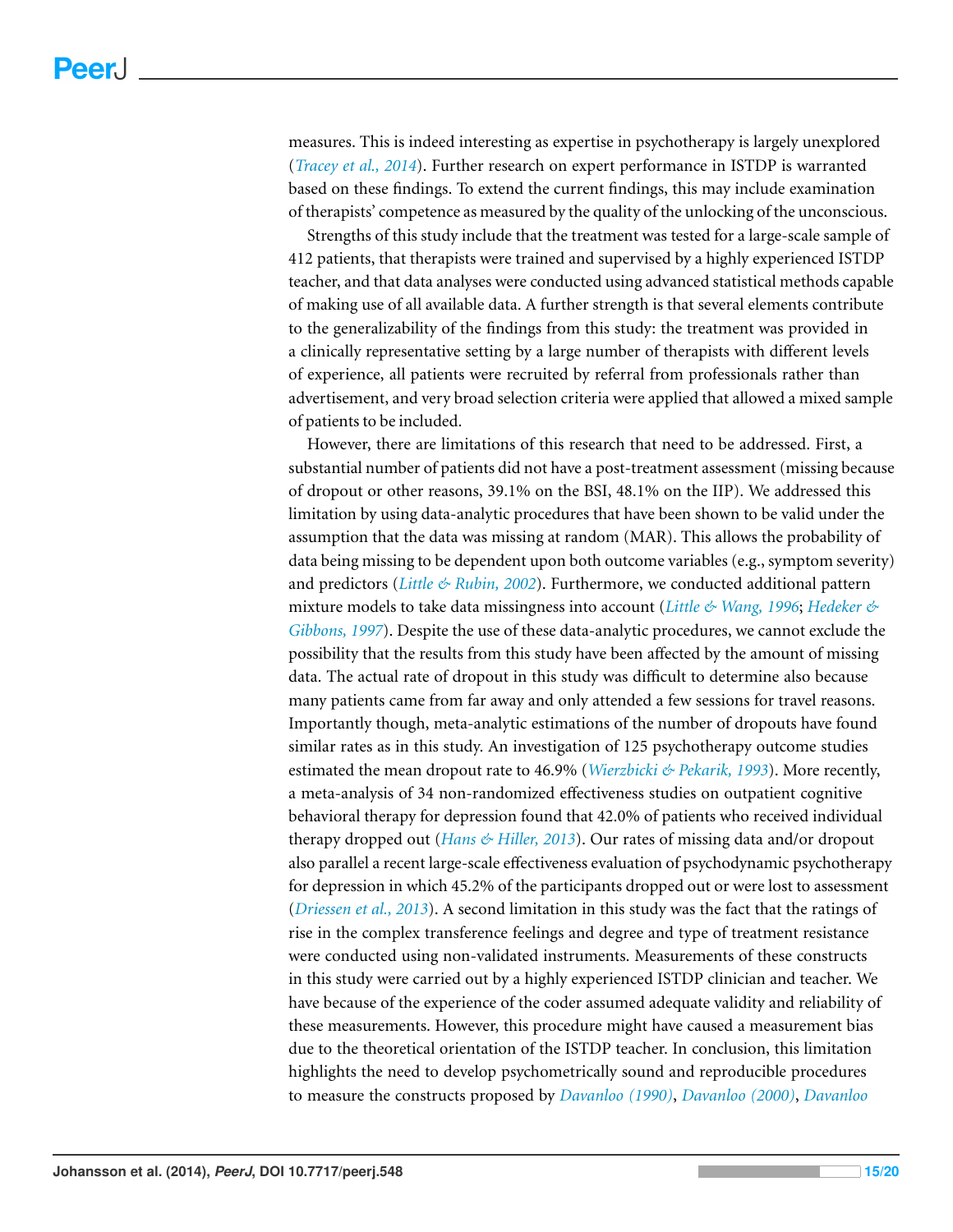measures. This is indeed interesting as expertise in psychotherapy is largely unexplored (*[Tracey](#page-19-14) [et](#page-19-14) [al.,](#page-19-14) [2014](#page-19-14)*). Further research on expert performance in ISTDP is warranted based on these findings. To extend the current findings, this may include examination of therapists' competence as measured by the quality of the unlocking of the unconscious.

Strengths of this study include that the treatment was tested for a large-scale sample of 412 patients, that therapists were trained and supervised by a highly experienced ISTDP teacher, and that data analyses were conducted using advanced statistical methods capable of making use of all available data. A further strength is that several elements contribute to the generalizability of the findings from this study: the treatment was provided in a clinically representative setting by a large number of therapists with different levels of experience, all patients were recruited by referral from professionals rather than advertisement, and very broad selection criteria were applied that allowed a mixed sample of patients to be included.

However, there are limitations of this research that need to be addressed. First, a substantial number of patients did not have a post-treatment assessment (missing because of dropout or other reasons, 39.1% on the BSI, 48.1% on the IIP). We addressed this limitation by using data-analytic procedures that have been shown to be valid under the assumption that the data was missing at random (MAR). This allows the probability of data being missing to be dependent upon both outcome variables (e.g., symptom severity) and predictors (*[Little](#page-18-7) [&](#page-18-7) [Rubin,](#page-18-7) [2002](#page-18-7)*). Furthermore, we conducted additional pattern mixture models to take data missingness into account (*[Little](#page-18-8) [&](#page-18-8) [Wang,](#page-18-8) [1996](#page-18-8)*; *[Hedeker](#page-18-9) [&](#page-18-9) [Gibbons,](#page-18-9) [1997](#page-18-9)*). Despite the use of these data-analytic procedures, we cannot exclude the possibility that the results from this study have been affected by the amount of missing data. The actual rate of dropout in this study was difficult to determine also because many patients came from far away and only attended a few sessions for travel reasons. Importantly though, meta-analytic estimations of the number of dropouts have found similar rates as in this study. An investigation of 125 psychotherapy outcome studies estimated the mean dropout rate to 46.9% (*[Wierzbicki](#page-19-15) [&](#page-19-15) [Pekarik,](#page-19-15) [1993](#page-19-15)*). More recently, a meta-analysis of 34 non-randomized effectiveness studies on outpatient cognitive behavioral therapy for depression found that 42.0% of patients who received individual therapy dropped out (*[Hans](#page-18-14) [&](#page-18-14) [Hiller,](#page-18-14) [2013](#page-18-14)*). Our rates of missing data and/or dropout also parallel a recent large-scale effectiveness evaluation of psychodynamic psychotherapy for depression in which 45.2% of the participants dropped out or were lost to assessment (*[Driessen](#page-18-15) [et](#page-18-15) [al.,](#page-18-15) [2013](#page-18-15)*). A second limitation in this study was the fact that the ratings of rise in the complex transference feelings and degree and type of treatment resistance were conducted using non-validated instruments. Measurements of these constructs in this study were carried out by a highly experienced ISTDP clinician and teacher. We have because of the experience of the coder assumed adequate validity and reliability of these measurements. However, this procedure might have caused a measurement bias due to the theoretical orientation of the ISTDP teacher. In conclusion, this limitation highlights the need to develop psychometrically sound and reproducible procedures to measure the constructs proposed by *[Davanloo](#page-17-2) [\(1990\)](#page-17-2)*, *[Davanloo](#page-17-3) [\(2000\)](#page-17-3)*, *[Davanloo](#page-17-11)*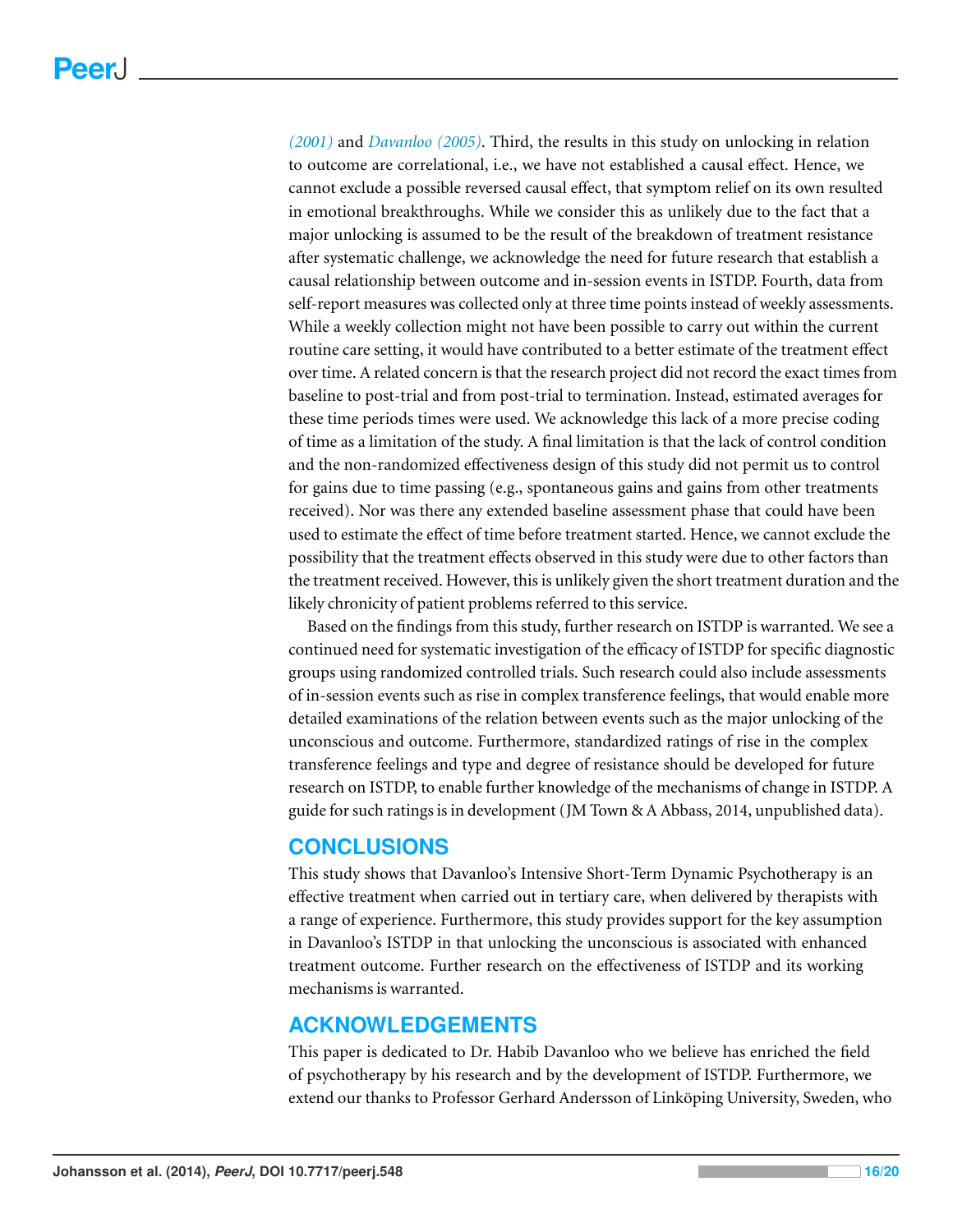*[\(2001\)](#page-17-11)* and *[Davanloo](#page-18-3) [\(2005\)](#page-18-3)*. Third, the results in this study on unlocking in relation to outcome are correlational, i.e., we have not established a causal effect. Hence, we cannot exclude a possible reversed causal effect, that symptom relief on its own resulted in emotional breakthroughs. While we consider this as unlikely due to the fact that a major unlocking is assumed to be the result of the breakdown of treatment resistance after systematic challenge, we acknowledge the need for future research that establish a causal relationship between outcome and in-session events in ISTDP. Fourth, data from self-report measures was collected only at three time points instead of weekly assessments. While a weekly collection might not have been possible to carry out within the current routine care setting, it would have contributed to a better estimate of the treatment effect over time. A related concern is that the research project did not record the exact times from baseline to post-trial and from post-trial to termination. Instead, estimated averages for these time periods times were used. We acknowledge this lack of a more precise coding of time as a limitation of the study. A final limitation is that the lack of control condition and the non-randomized effectiveness design of this study did not permit us to control for gains due to time passing (e.g., spontaneous gains and gains from other treatments received). Nor was there any extended baseline assessment phase that could have been used to estimate the effect of time before treatment started. Hence, we cannot exclude the possibility that the treatment effects observed in this study were due to other factors than the treatment received. However, this is unlikely given the short treatment duration and the likely chronicity of patient problems referred to this service.

Based on the findings from this study, further research on ISTDP is warranted. We see a continued need for systematic investigation of the efficacy of ISTDP for specific diagnostic groups using randomized controlled trials. Such research could also include assessments of in-session events such as rise in complex transference feelings, that would enable more detailed examinations of the relation between events such as the major unlocking of the unconscious and outcome. Furthermore, standardized ratings of rise in the complex transference feelings and type and degree of resistance should be developed for future research on ISTDP, to enable further knowledge of the mechanisms of change in ISTDP. A guide for such ratings is in development (JM Town & A Abbass, 2014, unpublished data).

# **CONCLUSIONS**

This study shows that Davanloo's Intensive Short-Term Dynamic Psychotherapy is an effective treatment when carried out in tertiary care, when delivered by therapists with a range of experience. Furthermore, this study provides support for the key assumption in Davanloo's ISTDP in that unlocking the unconscious is associated with enhanced treatment outcome. Further research on the effectiveness of ISTDP and its working mechanisms is warranted.

# **ACKNOWLEDGEMENTS**

This paper is dedicated to Dr. Habib Davanloo who we believe has enriched the field of psychotherapy by his research and by the development of ISTDP. Furthermore, we extend our thanks to Professor Gerhard Andersson of Linköping University, Sweden, who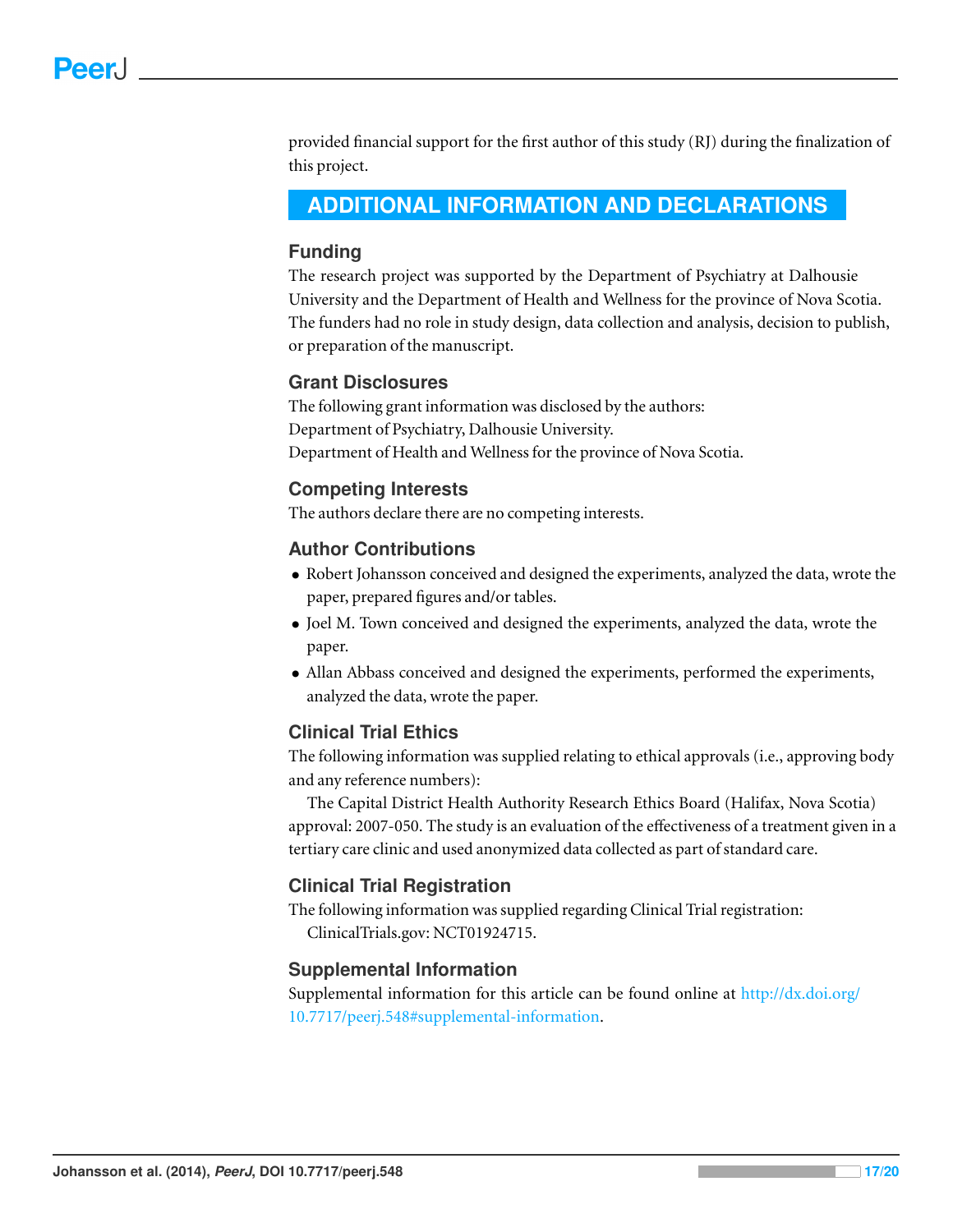provided financial support for the first author of this study (RJ) during the finalization of this project.

# <span id="page-16-0"></span>**ADDITIONAL INFORMATION AND DECLARATIONS**

#### **Funding**

The research project was supported by the Department of Psychiatry at Dalhousie University and the Department of Health and Wellness for the province of Nova Scotia. The funders had no role in study design, data collection and analysis, decision to publish, or preparation of the manuscript.

#### **Grant Disclosures**

The following grant information was disclosed by the authors: Department of Psychiatry, Dalhousie University. Department of Health and Wellness for the province of Nova Scotia.

#### **Competing Interests**

The authors declare there are no competing interests.

#### **Author Contributions**

- Robert Johansson conceived and designed the experiments, analyzed the data, wrote the paper, prepared figures and/or tables.
- Joel M. Town conceived and designed the experiments, analyzed the data, wrote the paper.
- Allan Abbass conceived and designed the experiments, performed the experiments, analyzed the data, wrote the paper.

# **Clinical Trial Ethics**

The following information was supplied relating to ethical approvals (i.e., approving body and any reference numbers):

The Capital District Health Authority Research Ethics Board (Halifax, Nova Scotia) approval: 2007-050. The study is an evaluation of the effectiveness of a treatment given in a tertiary care clinic and used anonymized data collected as part of standard care.

# **Clinical Trial Registration**

The following information was supplied regarding Clinical Trial registration: ClinicalTrials.gov: NCT01924715.

# **Supplemental Information**

Supplemental information for this article can be found online at [http://dx.doi.org/](http://dx.doi.org/10.7717/peerj.548#supplemental-information) [10.7717/peerj.548#supplemental-information.](http://dx.doi.org/10.7717/peerj.548#supplemental-information)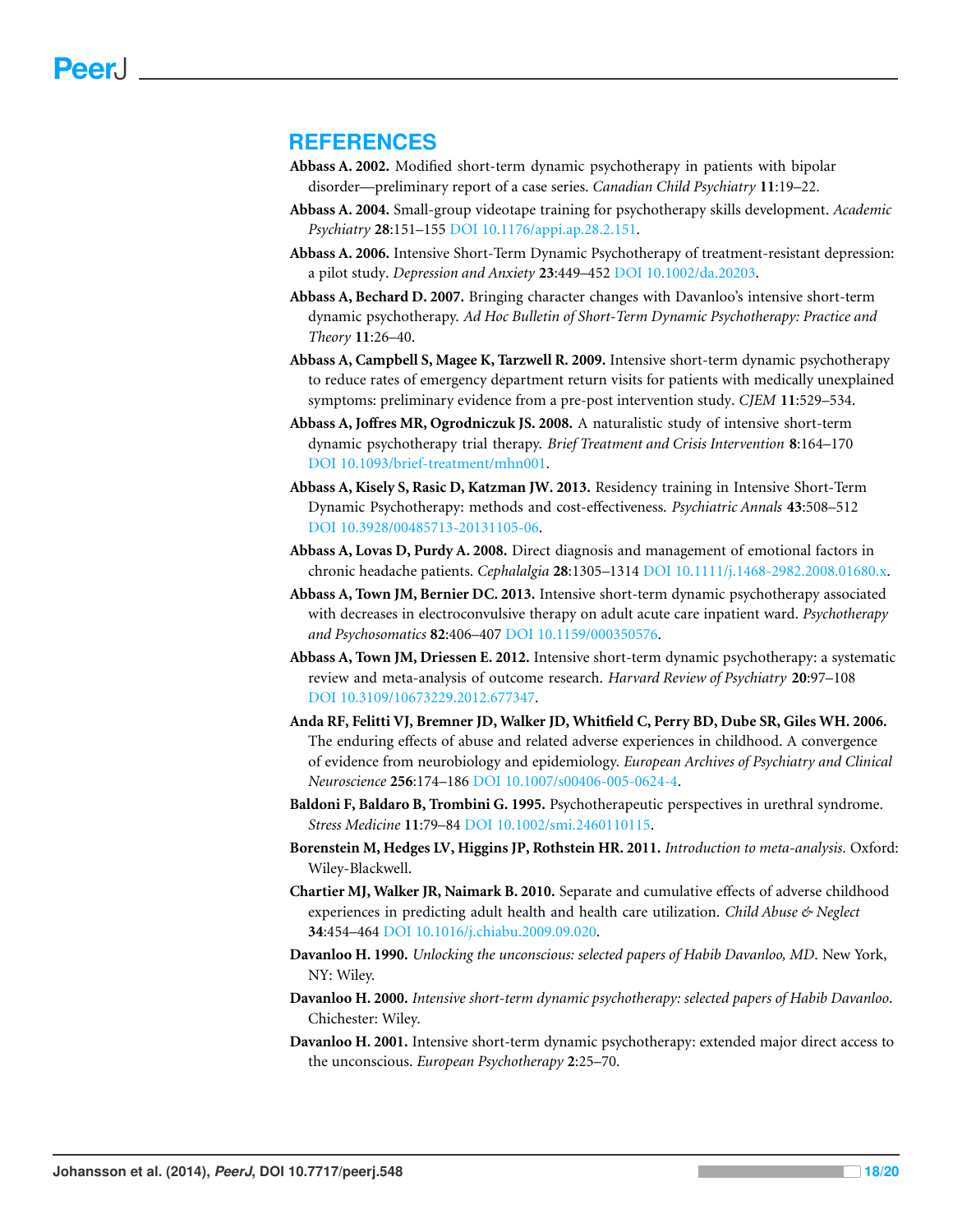# **REFERENCES**

- <span id="page-17-13"></span>**Abbass A. 2002.** Modified short-term dynamic psychotherapy in patients with bipolar disorder—preliminary report of a case series. *Canadian Child Psychiatry* **11**:19–22.
- <span id="page-17-14"></span>**Abbass A. 2004.** Small-group videotape training for psychotherapy skills development. *Academic Psychiatry* **28**:151–155 DOI [10.1176/appi.ap.28.2.151.](http://dx.doi.org/10.1176/appi.ap.28.2.151)
- <span id="page-17-6"></span>**Abbass A. 2006.** Intensive Short-Term Dynamic Psychotherapy of treatment-resistant depression: a pilot study. *Depression and Anxiety* **23**:449–452 DOI [10.1002/da.20203.](http://dx.doi.org/10.1002/da.20203)
- <span id="page-17-12"></span>**Abbass A, Bechard D. 2007.** Bringing character changes with Davanloo's intensive short-term dynamic psychotherapy. *Ad Hoc Bulletin of Short-Term Dynamic Psychotherapy: Practice and Theory* **11**:26–40.
- <span id="page-17-9"></span>**Abbass A, Campbell S, Magee K, Tarzwell R. 2009.** Intensive short-term dynamic psychotherapy to reduce rates of emergency department return visits for patients with medically unexplained symptoms: preliminary evidence from a pre-post intervention study. *CJEM* **11**:529–534.
- <span id="page-17-10"></span>**Abbass A, Joffres MR, Ogrodniczuk JS. 2008.** A naturalistic study of intensive short-term dynamic psychotherapy trial therapy. *Brief Treatment and Crisis Intervention* **8**:164–170 DOI [10.1093/brief-treatment/mhn001.](http://dx.doi.org/10.1093/brief-treatment/mhn001)
- <span id="page-17-16"></span>**Abbass A, Kisely S, Rasic D, Katzman JW. 2013.** Residency training in Intensive Short-Term Dynamic Psychotherapy: methods and cost-effectiveness. *Psychiatric Annals* **43**:508–512 DOI [10.3928/00485713-20131105-06.](http://dx.doi.org/10.3928/00485713-20131105-06)
- <span id="page-17-7"></span>**Abbass A, Lovas D, Purdy A. 2008.** Direct diagnosis and management of emotional factors in chronic headache patients. *Cephalalgia* **28**:1305–1314 DOI [10.1111/j.1468-2982.2008.01680.x.](http://dx.doi.org/10.1111/j.1468-2982.2008.01680.x)
- <span id="page-17-8"></span>**Abbass A, Town JM, Bernier DC. 2013.** Intensive short-term dynamic psychotherapy associated with decreases in electroconvulsive therapy on adult acute care inpatient ward. *Psychotherapy and Psychosomatics* **82**:406–407 DOI [10.1159/000350576.](http://dx.doi.org/10.1159/000350576)
- <span id="page-17-4"></span>**Abbass A, Town JM, Driessen E. 2012.** Intensive short-term dynamic psychotherapy: a systematic review and meta-analysis of outcome research. *Harvard Review of Psychiatry* **20**:97–108 DOI [10.3109/10673229.2012.677347.](http://dx.doi.org/10.3109/10673229.2012.677347)
- <span id="page-17-0"></span>**Anda RF, Felitti VJ, Bremner JD, Walker JD, Whitfield C, Perry BD, Dube SR, Giles WH. 2006.** The enduring effects of abuse and related adverse experiences in childhood. A convergence of evidence from neurobiology and epidemiology. *European Archives of Psychiatry and Clinical Neuroscience* **256**:174–186 DOI [10.1007/s00406-005-0624-4.](http://dx.doi.org/10.1007/s00406-005-0624-4)
- <span id="page-17-5"></span>**Baldoni F, Baldaro B, Trombini G. 1995.** Psychotherapeutic perspectives in urethral syndrome. *Stress Medicine* **11**:79–84 DOI [10.1002/smi.2460110115.](http://dx.doi.org/10.1002/smi.2460110115)
- <span id="page-17-15"></span>**Borenstein M, Hedges LV, Higgins JP, Rothstein HR. 2011.** *Introduction to meta-analysis*. Oxford: Wiley-Blackwell.
- <span id="page-17-1"></span>**Chartier MJ, Walker JR, Naimark B. 2010.** Separate and cumulative effects of adverse childhood experiences in predicting adult health and health care utilization. *Child Abuse & Neglect* **34**:454–464 DOI [10.1016/j.chiabu.2009.09.020.](http://dx.doi.org/10.1016/j.chiabu.2009.09.020)
- <span id="page-17-2"></span>**Davanloo H. 1990.** *Unlocking the unconscious: selected papers of Habib Davanloo, MD*. New York, NY: Wiley.
- <span id="page-17-3"></span>**Davanloo H. 2000.** *Intensive short-term dynamic psychotherapy: selected papers of Habib Davanloo*. Chichester: Wiley.
- <span id="page-17-11"></span>**Davanloo H. 2001.** Intensive short-term dynamic psychotherapy: extended major direct access to the unconscious. *European Psychotherapy* **2**:25–70.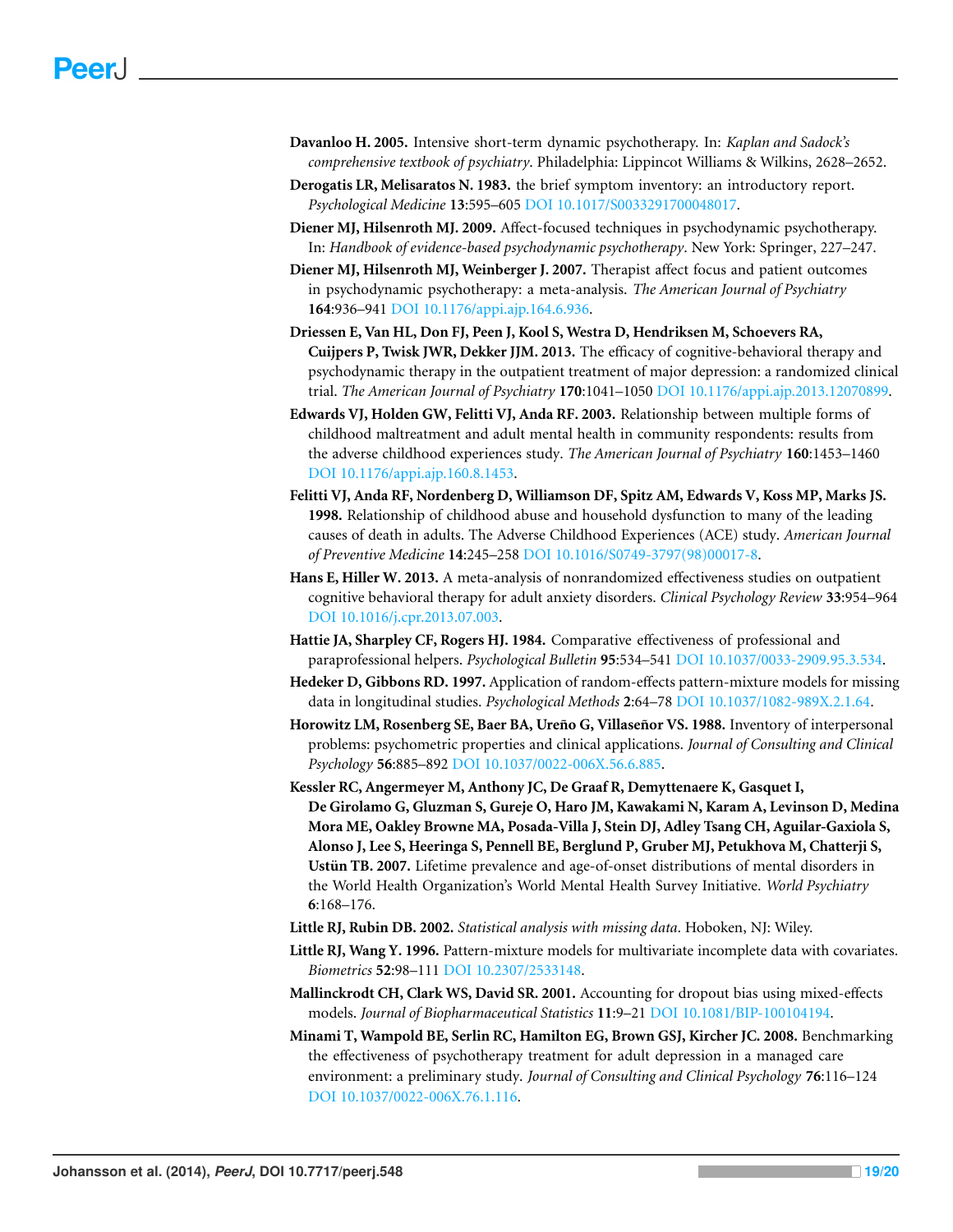- <span id="page-18-3"></span>**Davanloo H. 2005.** Intensive short-term dynamic psychotherapy. In: *Kaplan and Sadock's comprehensive textbook of psychiatry*. Philadelphia: Lippincot Williams & Wilkins, 2628–2652.
- <span id="page-18-4"></span>**Derogatis LR, Melisaratos N. 1983.** the brief symptom inventory: an introductory report. *Psychological Medicine* **13**:595–605 DOI [10.1017/S0033291700048017.](http://dx.doi.org/10.1017/S0033291700048017)
- <span id="page-18-12"></span>**Diener MJ, Hilsenroth MJ. 2009.** Affect-focused techniques in psychodynamic psychotherapy. In: *Handbook of evidence-based psychodynamic psychotherapy*. New York: Springer, 227–247.
- <span id="page-18-11"></span>**Diener MJ, Hilsenroth MJ, Weinberger J. 2007.** Therapist affect focus and patient outcomes in psychodynamic psychotherapy: a meta-analysis. *The American Journal of Psychiatry* **164**:936–941 DOI [10.1176/appi.ajp.164.6.936.](http://dx.doi.org/10.1176/appi.ajp.164.6.936)
- <span id="page-18-15"></span>**Driessen E, Van HL, Don FJ, Peen J, Kool S, Westra D, Hendriksen M, Schoevers RA, Cuijpers P, Twisk JWR, Dekker JJM. 2013.** The efficacy of cognitive-behavioral therapy and psychodynamic therapy in the outpatient treatment of major depression: a randomized clinical trial. *The American Journal of Psychiatry* **170**:1041–1050 DOI [10.1176/appi.ajp.2013.12070899.](http://dx.doi.org/10.1176/appi.ajp.2013.12070899)
- <span id="page-18-2"></span>**Edwards VJ, Holden GW, Felitti VJ, Anda RF. 2003.** Relationship between multiple forms of childhood maltreatment and adult mental health in community respondents: results from the adverse childhood experiences study. *The American Journal of Psychiatry* **160**:1453–1460 DOI [10.1176/appi.ajp.160.8.1453.](http://dx.doi.org/10.1176/appi.ajp.160.8.1453)
- <span id="page-18-1"></span>**Felitti VJ, Anda RF, Nordenberg D, Williamson DF, Spitz AM, Edwards V, Koss MP, Marks JS. 1998.** Relationship of childhood abuse and household dysfunction to many of the leading causes of death in adults. The Adverse Childhood Experiences (ACE) study. *American Journal of Preventive Medicine* **14**:245–258 DOI [10.1016/S0749-3797\(98\)00017-8.](http://dx.doi.org/10.1016/S0749-3797(98)00017-8)
- <span id="page-18-14"></span>**Hans E, Hiller W. 2013.** A meta-analysis of nonrandomized effectiveness studies on outpatient cognitive behavioral therapy for adult anxiety disorders. *Clinical Psychology Review* **33**:954–964 DOI [10.1016/j.cpr.2013.07.003.](http://dx.doi.org/10.1016/j.cpr.2013.07.003)
- <span id="page-18-13"></span>**Hattie JA, Sharpley CF, Rogers HJ. 1984.** Comparative effectiveness of professional and paraprofessional helpers. *Psychological Bulletin* **95**:534–541 DOI [10.1037/0033-2909.95.3.534.](http://dx.doi.org/10.1037/0033-2909.95.3.534)
- <span id="page-18-9"></span>**Hedeker D, Gibbons RD. 1997.** Application of random-effects pattern-mixture models for missing data in longitudinal studies. *Psychological Methods* **2**:64–78 DOI [10.1037/1082-989X.2.1.64.](http://dx.doi.org/10.1037/1082-989X.2.1.64)
- <span id="page-18-5"></span>Horowitz LM, Rosenberg SE, Baer BA, Ureño G, Villaseñor VS. 1988. Inventory of interpersonal problems: psychometric properties and clinical applications. *Journal of Consulting and Clinical Psychology* **56**:885–892 DOI [10.1037/0022-006X.56.6.885.](http://dx.doi.org/10.1037/0022-006X.56.6.885)
- <span id="page-18-0"></span>**Kessler RC, Angermeyer M, Anthony JC, De Graaf R, Demyttenaere K, Gasquet I, De Girolamo G, Gluzman S, Gureje O, Haro JM, Kawakami N, Karam A, Levinson D, Medina Mora ME, Oakley Browne MA, Posada-Villa J, Stein DJ, Adley Tsang CH, Aguilar-Gaxiola S, Alonso J, Lee S, Heeringa S, Pennell BE, Berglund P, Gruber MJ, Petukhova M, Chatterji S, Ustün TB. 2007.** Lifetime prevalence and age-of-onset distributions of mental disorders in the World Health Organization's World Mental Health Survey Initiative. *World Psychiatry* **6**:168–176.
- <span id="page-18-7"></span>**Little RJ, Rubin DB. 2002.** *Statistical analysis with missing data*. Hoboken, NJ: Wiley.
- <span id="page-18-8"></span>**Little RJ, Wang Y. 1996.** Pattern-mixture models for multivariate incomplete data with covariates. *Biometrics* **52**:98–111 DOI [10.2307/2533148.](http://dx.doi.org/10.2307/2533148)
- <span id="page-18-6"></span>**Mallinckrodt CH, Clark WS, David SR. 2001.** Accounting for dropout bias using mixed-effects models. *Journal of Biopharmaceutical Statistics* **11**:9–21 DOI [10.1081/BIP-100104194.](http://dx.doi.org/10.1081/BIP-100104194)
- <span id="page-18-10"></span>**Minami T, Wampold BE, Serlin RC, Hamilton EG, Brown GSJ, Kircher JC. 2008.** Benchmarking the effectiveness of psychotherapy treatment for adult depression in a managed care environment: a preliminary study. *Journal of Consulting and Clinical Psychology* **76**:116–124 DOI [10.1037/0022-006X.76.1.116.](http://dx.doi.org/10.1037/0022-006X.76.1.116)